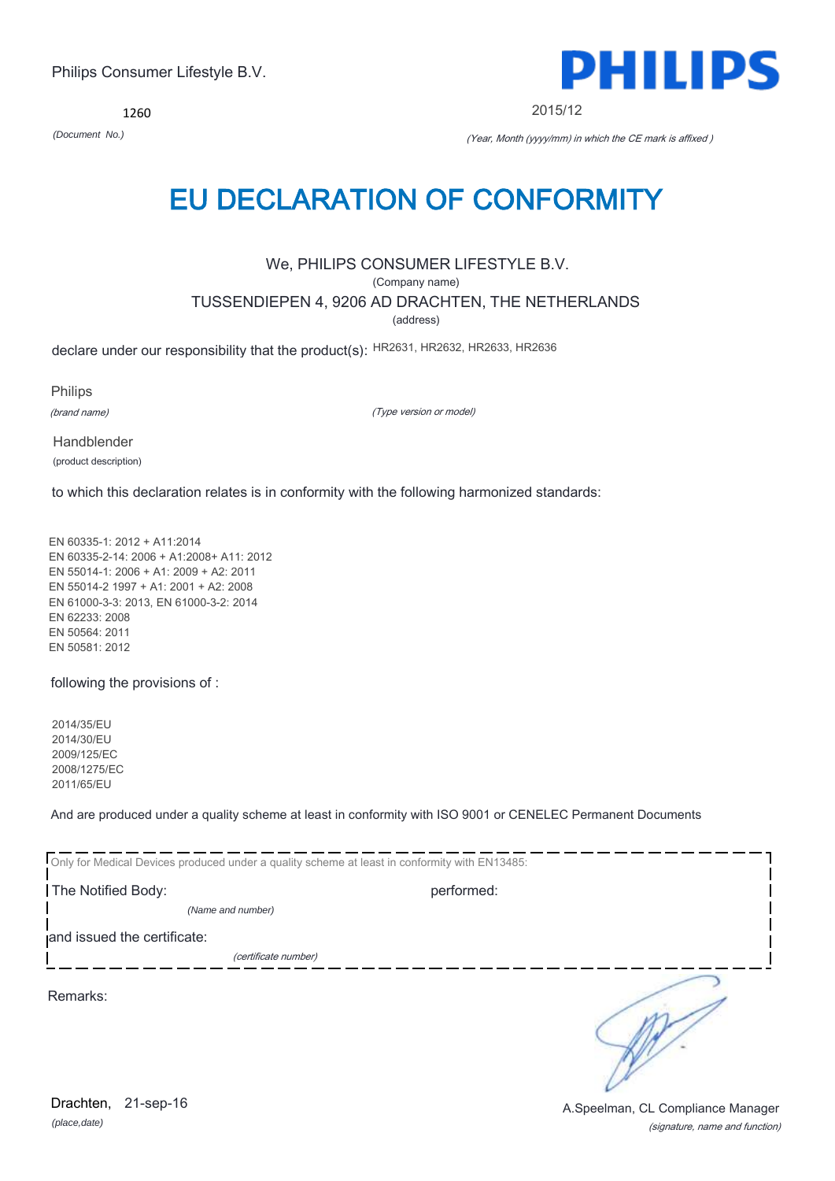*(place,date)* Drachten, 21-sep-16

(signature, name and function) A.Speelman, CL Compliance Manager

## Philips Consumer Lifestyle B.V.

1260

## EU DECLARATION OF CONFORMITY

We, PHILIPS CONSUMER LIFESTYLE B.V.

(Company name)

TUSSENDIEPEN 4, 9206 AD DRACHTEN, THE NETHERLANDS

(address)

declare under our responsibility that the product(s): HR2631, HR2632, HR2633, HR2636

Philips

(brand name)

(Type version or model)

Handblender (product description)

to which this declaration relates is in conformity with the following harmonized standards:

EN 60335-1: 2012 + A11:2014 EN 60335-2-14: 2006 + A1:2008+ A11: 2012 EN 55014-1: 2006 + A1: 2009 + A2: 2011 EN 55014-2 1997 + A1: 2001 + A2: 2008 EN 61000-3-3: 2013, EN 61000-3-2: 2014 EN 62233: 2008 EN 50564: 2011 EN 50581: 2012

following the provisions of :

2014/35/EU 2014/30/EU 2009/125/EC 2008/1275/EC 2011/65/EU

And are produced under a quality scheme at least in conformity with ISO 9001 or CENELEC Permanent Documents

| Only for Medical Devices produced under a quality scheme at least in conformity with EN13485: |            |  |
|-----------------------------------------------------------------------------------------------|------------|--|
| The Notified Body:                                                                            | performed: |  |
| (Name and number)                                                                             |            |  |
| and issued the certificate:                                                                   |            |  |
| (certificate number)                                                                          |            |  |
| Remarks:                                                                                      |            |  |



2015/12

*(Document No.)* (Year, Month (yyyy/mm) in which the CE mark is affixed )

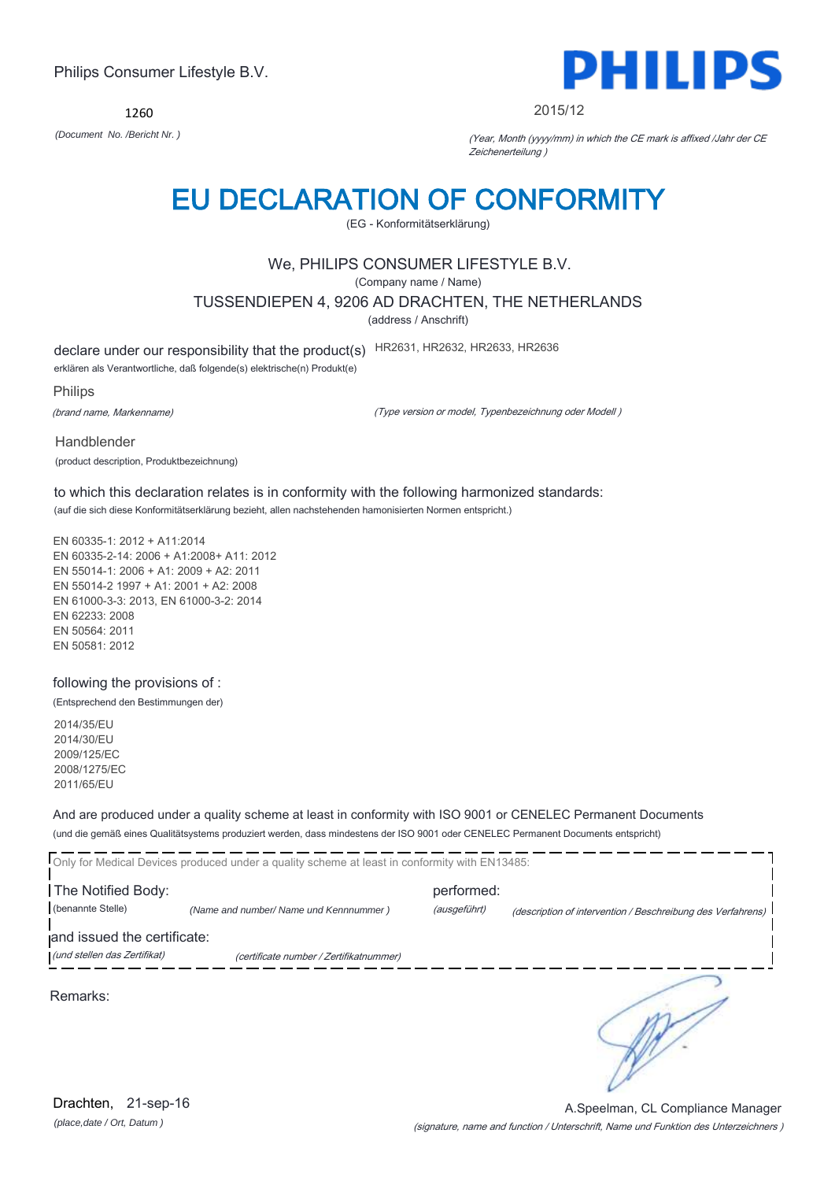1260



#### 2015/12

*(Document No. /Bericht Nr. )* (Year, Month (yyyy/mm) in which the CE mark is affixed /Jahr der CE Zeichenerteilung )

## EU DECLARATION OF CONFORMITY

(EG - Konformitätserklärung)

### We, PHILIPS CONSUMER LIFESTYLE B.V.

(Company name / Name)

TUSSENDIEPEN 4, 9206 AD DRACHTEN, THE NETHERLANDS

(address / Anschrift)

declare under our responsibility that the product(s) HR2631, HR2632, HR2633, HR2636

erklären als Verantwortliche, daß folgende(s) elektrische(n) Produkt(e)

Philips

(brand name, Markenname)

(Type version or model, Typenbezeichnung oder Modell )

Handblender (product description, Produktbezeichnung)

to which this declaration relates is in conformity with the following harmonized standards: (auf die sich diese Konformitätserklärung bezieht, allen nachstehenden hamonisierten Normen entspricht.)

EN 60335-1: 2012 + A11:2014 EN 60335-2-14: 2006 + A1:2008+ A11: 2012 EN 55014-1: 2006 + A1: 2009 + A2: 2011 EN 55014-2 1997 + A1: 2001 + A2: 2008 EN 61000-3-3: 2013, EN 61000-3-2: 2014 EN 62233: 2008 EN 50564: 2011 EN 50581: 2012

following the provisions of :

(Entsprechend den Bestimmungen der)

2014/35/EU 2014/30/EU 2009/125/EC 2008/1275/EC 2011/65/EU

And are produced under a quality scheme at least in conformity with ISO 9001 or CENELEC Permanent Documents (und die gemäß eines Qualitätsystems produziert werden, dass mindestens der ISO 9001 oder CENELEC Permanent Documents entspricht)

Only for Medical Devices produced under a quality scheme at least in conformity with EN13485: **The Notified Body: performed:** performed: (benannte Stelle) *(Name and number/ Name und Kennnummer )* (ausgeführt) (description of intervention / Beschreibung des Verfahrens) and issued the certificate: (und stellen das Zertifikat) (certificate number / Zertifikatnummer) ₹ Remarks:

(signature, name and function / Unterschrift, Name und Funktion des Unterzeichners ) A.Speelman, CL Compliance Manager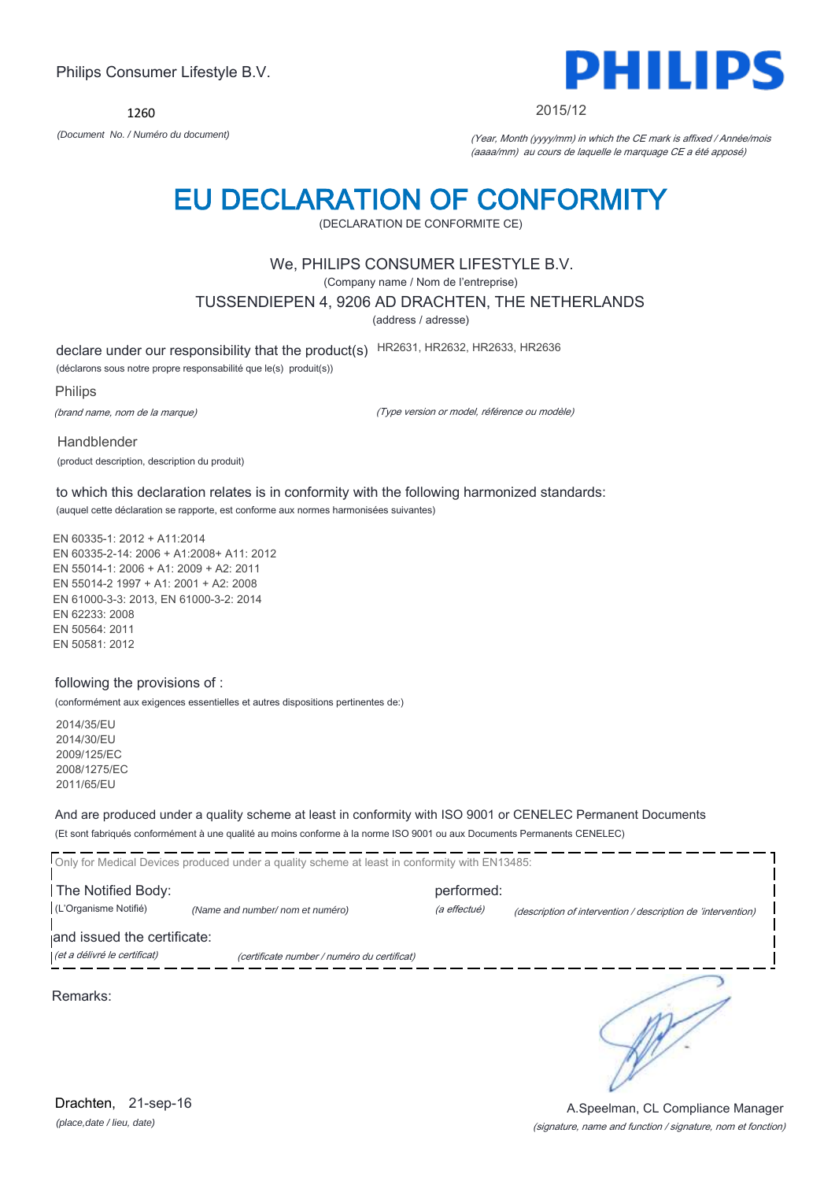1260



2015/12

*(Document No. / Numéro du document)* (Year, Month (yyyy/mm) in which the CE mark is affixed / Année/mois (aaaa/mm) au cours de laquelle le marquage CE a été apposé)

## EU DECLARATION OF CONFORMITY

(DECLARATION DE CONFORMITE CE)

### We, PHILIPS CONSUMER LIFESTYLE B.V.

(Company name / Nom de l'entreprise)

TUSSENDIEPEN 4, 9206 AD DRACHTEN, THE NETHERLANDS

(address / adresse)

declare under our responsibility that the product(s) HR2631, HR2632, HR2633, HR2636

(déclarons sous notre propre responsabilité que le(s) produit(s))

Philips

(brand name, nom de la marque)

(Type version or model, référence ou modèle)

Handblender (product description, description du produit)

to which this declaration relates is in conformity with the following harmonized standards: (auquel cette déclaration se rapporte, est conforme aux normes harmonisées suivantes)

EN 60335-1: 2012 + A11:2014 EN 60335-2-14: 2006 + A1:2008+ A11: 2012 EN 55014-1: 2006 + A1: 2009 + A2: 2011 EN 55014-2 1997 + A1: 2001 + A2: 2008 EN 61000-3-3: 2013, EN 61000-3-2: 2014 EN 62233: 2008 EN 50564: 2011 EN 50581: 2012

### following the provisions of :

(conformément aux exigences essentielles et autres dispositions pertinentes de:)

2014/35/EU 2014/30/EU 2009/125/EC 2008/1275/EC 2011/65/EU

And are produced under a quality scheme at least in conformity with ISO 9001 or CENELEC Permanent Documents (Et sont fabriqués conformément à une qualité au moins conforme à la norme ISO 9001 ou aux Documents Permanents CENELEC)

|                              | Only for Medical Devices produced under a quality scheme at least in conformity with EN13485: |              |                                                              |
|------------------------------|-----------------------------------------------------------------------------------------------|--------------|--------------------------------------------------------------|
| The Notified Body:           |                                                                                               | performed:   |                                                              |
| (L'Organisme Notifié)        | (Name and number/ nom et numéro)                                                              | (a effectué) | (description of intervention / description de 'intervention) |
| and issued the certificate:  |                                                                                               |              |                                                              |
| (et a délivré le certificat) | (certificate number / numéro du certificat)                                                   |              |                                                              |
| Remarks:                     |                                                                                               |              |                                                              |

### (signature, name and function / signature, nom et fonction) A.Speelman, CL Compliance Manager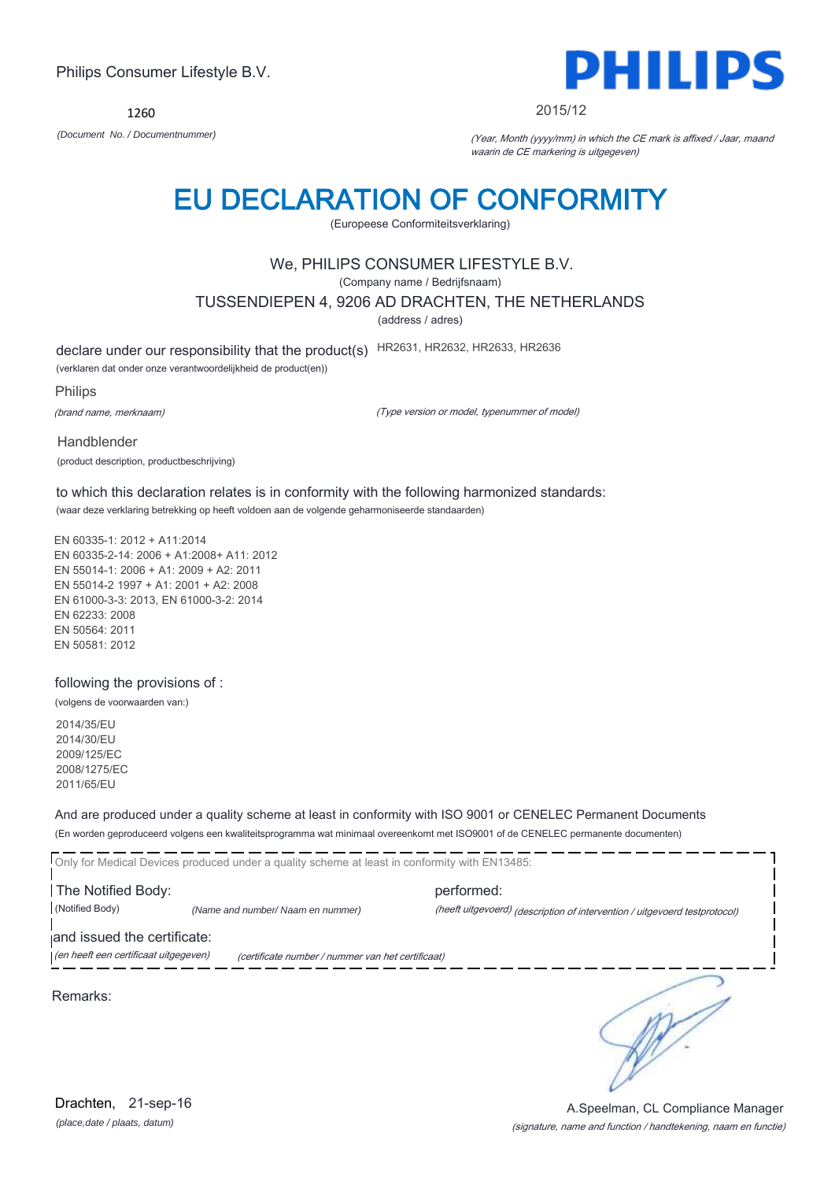1260

*(Document No. / Documentnummer)* (Year, Month (yyyy/mm) in which the CE mark is affixed / Jaar, maand waarin de CE markering is uitgegeven)

## EU DECLARATION OF CONFORMITY

(Europeese Conformiteitsverklaring)

## We, PHILIPS CONSUMER LIFESTYLE B.V.

(Company name / Bedrijfsnaam)

TUSSENDIEPEN 4, 9206 AD DRACHTEN, THE NETHERLANDS

(address / adres)

declare under our responsibility that the product(s) HR2631, HR2632, HR2633, HR2636

(verklaren dat onder onze verantwoordelijkheid de product(en))

Philips

(brand name, merknaam)

Handblender

(Type version or model, typenummer of model)

(product description, productbeschrijving)

to which this declaration relates is in conformity with the following harmonized standards: (waar deze verklaring betrekking op heeft voldoen aan de volgende geharmoniseerde standaarden)

EN 60335-2-14: 2006 + A1:2008+ A11: 2012 EN 55014-1: 2006 + A1: 2009 + A2: 2011 EN 55014-2 1997 + A1: 2001 + A2: 2008 EN 61000-3-3: 2013, EN 61000-3-2: 2014 EN 62233: 2008

following the provisions of :

(volgens de voorwaarden van:)

2014/35/EU 2014/30/EU 2009/125/EC 2008/1275/EC 2011/65/EU

And are produced under a quality scheme at least in conformity with ISO 9001 or CENELEC Permanent Documents (En worden geproduceerd volgens een kwaliteitsprogramma wat minimaal overeenkomt met ISO9001 of de CENELEC permanente documenten)

Only for Medical Devices produced under a quality scheme at least in conformity with EN13485: **The Notified Body: performed:** performed: (Notified Body) *(Name and number/ Naam en nummer)* (heeft uitgevoerd) (description of intervention / uitgevoerd testprotocol) and issued the certificate: (en heeft een certificaat uitgegeven) (certificate number / nummer van het certificaat)

Remarks:

(signature, name and function / handtekening, naam en functie) A.Speelman, CL Compliance Manager

DHIII 2015/12

∍

EN 60335-1: 2012 + A11:2014

EN 50564: 2011 EN 50581: 2012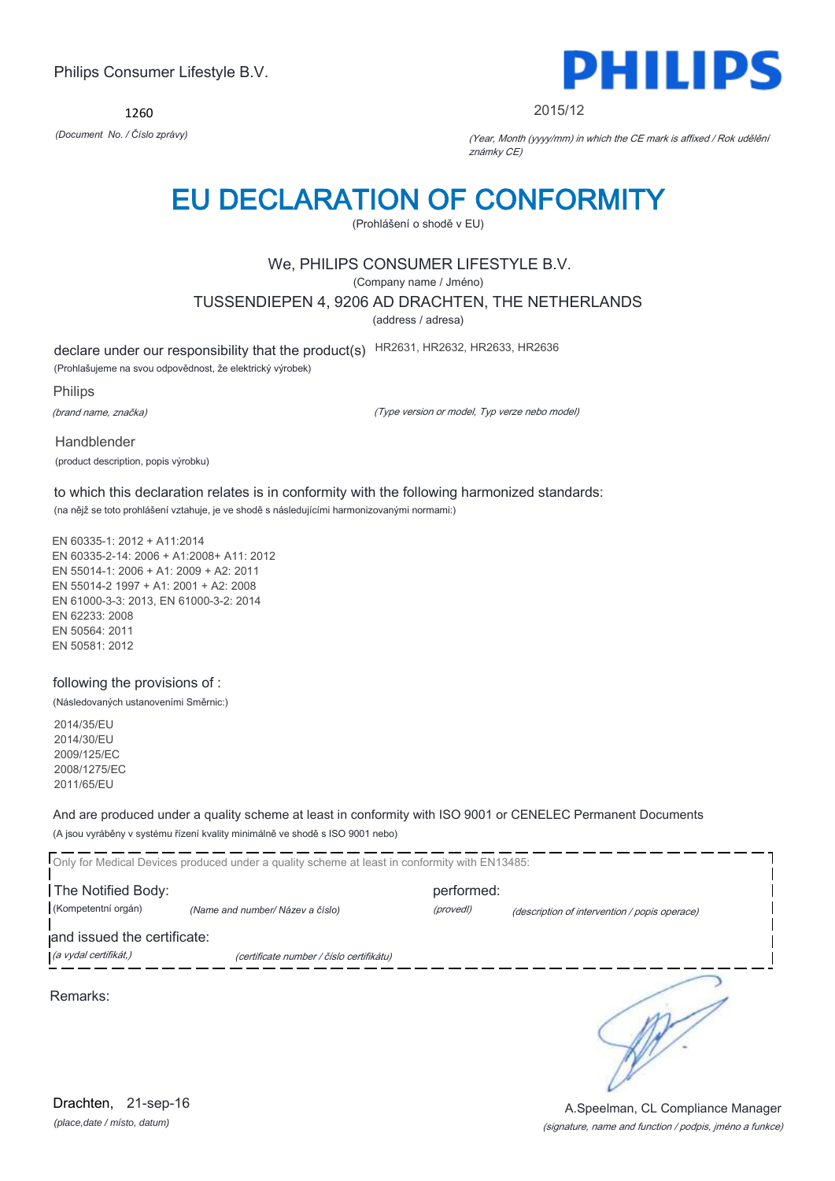1260



#### 2015/12

*(Document No. / Číslo zprávy)* (Year, Month (yyyy/mm) in which the CE mark is affixed / Rok udělění známky CE)

## EU DECLARATION OF CONFORMITY

(Prohlášení o shodě v EU)

## We, PHILIPS CONSUMER LIFESTYLE B.V.

(Company name / Jméno)

TUSSENDIEPEN 4, 9206 AD DRACHTEN, THE NETHERLANDS

(address / adresa)

declare under our responsibility that the product(s) HR2631, HR2632, HR2633, HR2636

(Prohlašujeme na svou odpovědnost, že elektrický výrobek)

Philips

(brand name, značka)

(Type version or model, Typ verze nebo model)

Handblender (product description, popis výrobku)

to which this declaration relates is in conformity with the following harmonized standards: (na nějž se toto prohlášení vztahuje, je ve shodě s následujícími harmonizovanými normami:)

EN 60335-1: 2012 + A11:2014 EN 60335-2-14: 2006 + A1:2008+ A11: 2012 EN 55014-1: 2006 + A1: 2009 + A2: 2011 EN 55014-2 1997 + A1: 2001 + A2: 2008 EN 61000-3-3: 2013, EN 61000-3-2: 2014 EN 62233: 2008 EN 50564: 2011 EN 50581: 2012

### following the provisions of :

(Následovaných ustanoveními Směrnic:)

2014/35/EU 2014/30/EU 2009/125/EC 2008/1275/EC 2011/65/EU

And are produced under a quality scheme at least in conformity with ISO 9001 or CENELEC Permanent Documents (A jsou vyráběny v systému řízení kvality minimálně ve shodě s ISO 9001 nebo)

Only for Medical Devices produced under a quality scheme at least in conformity with EN13485: **The Notified Body: performed:** performed: (Kompetentní orgán) *(Name and number/ Název a číslo)* (provedl) (description of intervention / popis operace) and issued the certificate: (a vydal certifikát,) (certificate number / číslo certifikátu) 5

Remarks:

*(place,date / místo, datum)* Drachten, 21-sep-16

(signature, name and function / podpis, jméno a funkce) A.Speelman, CL Compliance Manager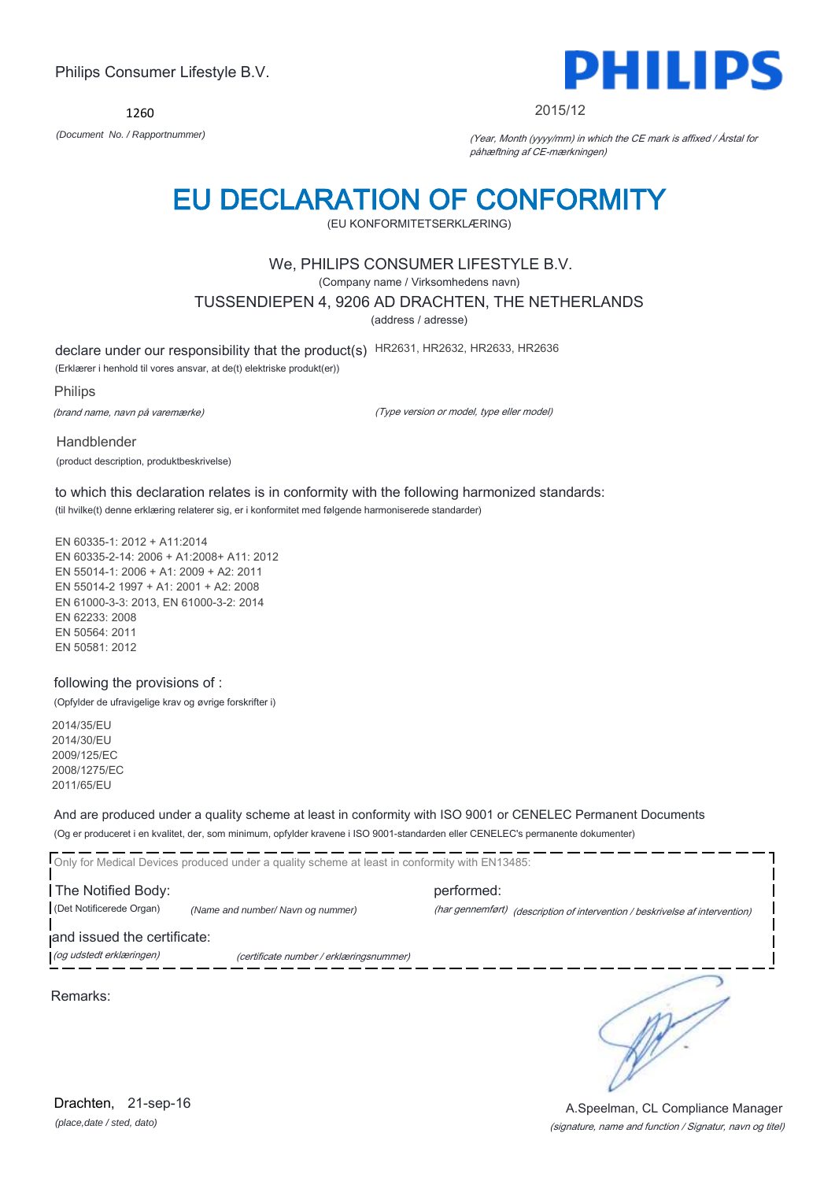1260



#### 2015/12

*(Document No. / Rapportnummer)* (Year, Month (yyyy/mm) in which the CE mark is affixed / Årstal for påhæftning af CE-mærkningen)

## EU DECLARATION OF CONFORMITY

(EU KONFORMITETSERKLÆRING)

### We, PHILIPS CONSUMER LIFESTYLE B.V.

(Company name / Virksomhedens navn)

TUSSENDIEPEN 4, 9206 AD DRACHTEN, THE NETHERLANDS

(address / adresse)

declare under our responsibility that the product(s) HR2631, HR2632, HR2633, HR2636

(Erklærer i henhold til vores ansvar, at de(t) elektriske produkt(er))

Philips

(brand name, navn på varemærke)

(Type version or model, type eller model)

Handblender (product description, produktbeskrivelse)

to which this declaration relates is in conformity with the following harmonized standards: (til hvilke(t) denne erklæring relaterer sig, er i konformitet med følgende harmoniserede standarder)

EN 60335-1: 2012 + A11:2014 EN 60335-2-14: 2006 + A1:2008+ A11: 2012 EN 55014-1: 2006 + A1: 2009 + A2: 2011 EN 55014-2 1997 + A1: 2001 + A2: 2008 EN 61000-3-3: 2013, EN 61000-3-2: 2014 EN 62233: 2008 EN 50564: 2011 EN 50581: 2012

### following the provisions of :

(Opfylder de ufravigelige krav og øvrige forskrifter i)

2014/35/EU 2014/30/EU 2009/125/EC 2008/1275/EC 2011/65/EU

And are produced under a quality scheme at least in conformity with ISO 9001 or CENELEC Permanent Documents (Og er produceret i en kvalitet, der, som minimum, opfylder kravene i ISO 9001-standarden eller CENELEC's permanente dokumenter)

Only for Medical Devices produced under a quality scheme at least in conformity with EN13485: **The Notified Body: performed:** performed: (Det Notificerede Organ) *(Name and number/ Navn og nummer)* (har gennemført) (description of intervention / beskrivelse af intervention) and issued the certificate: (og udstedt erklæringen) (certificate number / erklæringsnummer)

Remarks:

*(place,date / sted, dato)* Drachten, 21-sep-16

∍

(signature, name and function / Signatur, navn og titel) A.Speelman, CL Compliance Manager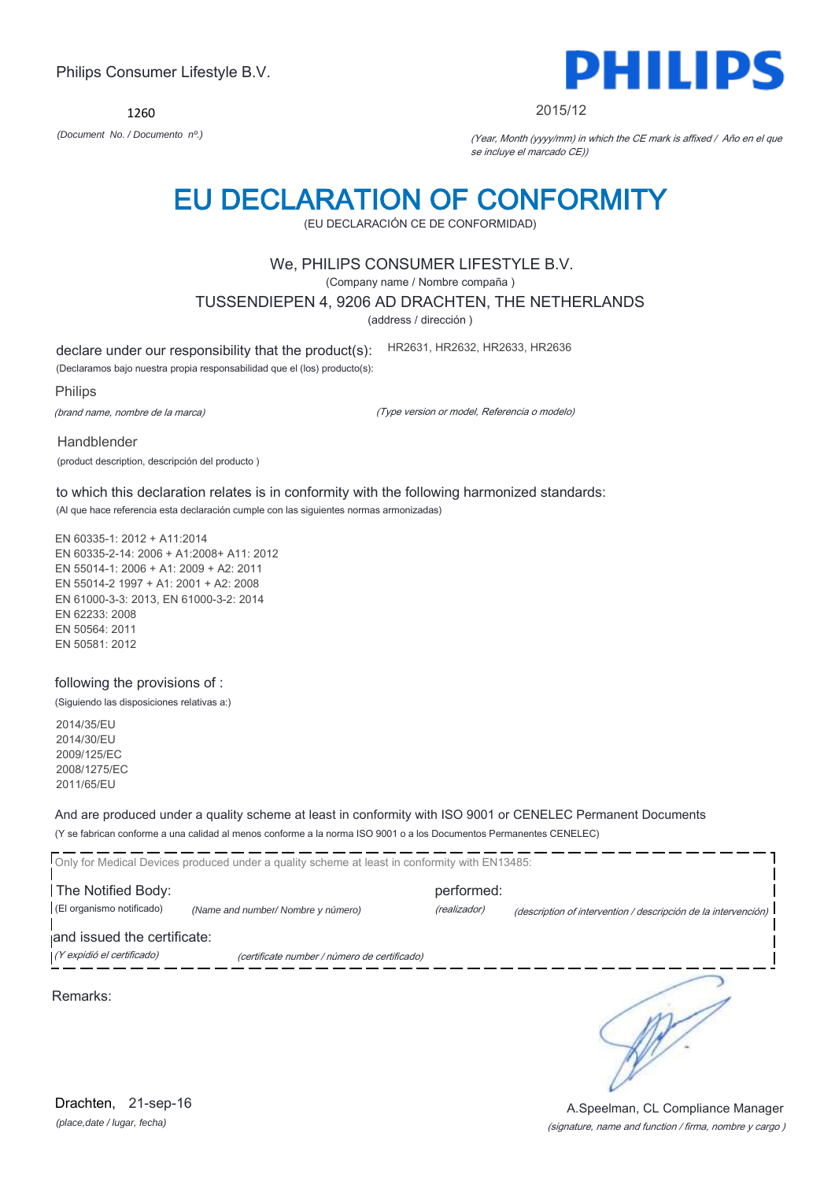1260 *(Document No. / Documento nº.)* (Year, Month (yyyy/mm) in which the CE mark is affixed / Año en el que

# EU DECLARATION OF CONFORMITY

se incluye el marcado CE))

## (EU DECLARACIÓN CE DE CONFORMIDAD)

### We, PHILIPS CONSUMER LIFESTYLE B.V.

(Company name / Nombre compaña )

TUSSENDIEPEN 4, 9206 AD DRACHTEN, THE NETHERLANDS

(address / dirección )

declare under our responsibility that the product(s): HR2631, HR2632, HR2633, HR2636

(Declaramos bajo nuestra propia responsabilidad que el (los) producto(s):

Philips

(brand name, nombre de la marca)

(Type version or model, Referencia o modelo)

Handblender

(product description, descripción del producto )

to which this declaration relates is in conformity with the following harmonized standards: (Al que hace referencia esta declaración cumple con las siguientes normas armonizadas)

EN 60335-1: 2012 + A11:2014 EN 60335-2-14: 2006 + A1:2008+ A11: 2012 EN 55014-1: 2006 + A1: 2009 + A2: 2011 EN 55014-2 1997 + A1: 2001 + A2: 2008 EN 61000-3-3: 2013, EN 61000-3-2: 2014 EN 62233: 2008 EN 50564: 2011 EN 50581: 2012

### following the provisions of :

(Siguiendo las disposiciones relativas a:)

2014/35/EU 2014/30/EU 2009/125/EC 2008/1275/EC 2011/65/EU

And are produced under a quality scheme at least in conformity with ISO 9001 or CENELEC Permanent Documents (Y se fabrican conforme a una calidad al menos conforme a la norma ISO 9001 o a los Documentos Permanentes CENELEC)

|                             | Only for Medical Devices produced under a quality scheme at least in conformity with EN13485: |              |                                                                |
|-----------------------------|-----------------------------------------------------------------------------------------------|--------------|----------------------------------------------------------------|
| The Notified Body:          |                                                                                               | performed:   |                                                                |
| (El organismo notificado)   | (Name and number/ Nombre y número)                                                            | (realizador) | (description of intervention / descripción de la intervención) |
| and issued the certificate: |                                                                                               |              |                                                                |
| (Y expidió el certificado)  | (certificate number / número de certificado)                                                  |              |                                                                |
|                             |                                                                                               |              |                                                                |

Remarks:



#### 2015/12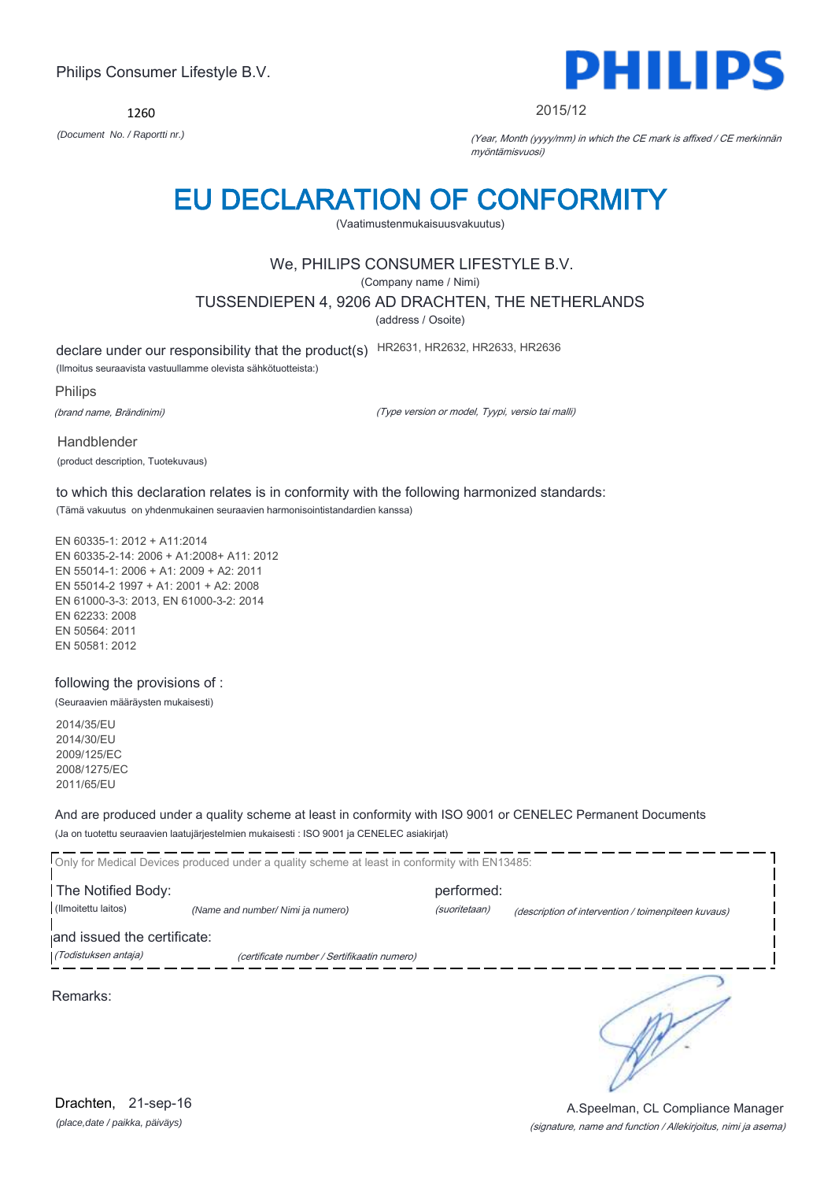1260



#### 2015/12

*(Document No. / Raportti nr.)* (Year, Month (yyyy/mm) in which the CE mark is affixed / CE merkinnän myöntämisvuosi)

## EU DECLARATION OF CONFORMITY

(Vaatimustenmukaisuusvakuutus)

## We, PHILIPS CONSUMER LIFESTYLE B.V.

(Company name / Nimi)

TUSSENDIEPEN 4, 9206 AD DRACHTEN, THE NETHERLANDS

(address / Osoite)

declare under our responsibility that the product(s) HR2631, HR2632, HR2633, HR2636

(Ilmoitus seuraavista vastuullamme olevista sähkötuotteista:)

Philips

(brand name, Brändinimi)

(Type version or model, Tyypi, versio tai malli)

Handblender (product description, Tuotekuvaus)

to which this declaration relates is in conformity with the following harmonized standards: (Tämä vakuutus on yhdenmukainen seuraavien harmonisointistandardien kanssa)

EN 60335-1: 2012 + A11:2014 EN 60335-2-14: 2006 + A1:2008+ A11: 2012 EN 55014-1: 2006 + A1: 2009 + A2: 2011 EN 55014-2 1997 + A1: 2001 + A2: 2008 EN 61000-3-3: 2013, EN 61000-3-2: 2014 EN 62233: 2008 EN 50564: 2011 EN 50581: 2012

following the provisions of :

(Seuraavien määräysten mukaisesti)

2014/35/EU 2014/30/EU 2009/125/EC 2008/1275/EC 2011/65/EU

And are produced under a quality scheme at least in conformity with ISO 9001 or CENELEC Permanent Documents (Ja on tuotettu seuraavien laatujärjestelmien mukaisesti : ISO 9001 ja CENELEC asiakirjat)

|                             | Only for Medical Devices produced under a quality scheme at least in conformity with EN13485: |               |                                                     |
|-----------------------------|-----------------------------------------------------------------------------------------------|---------------|-----------------------------------------------------|
| The Notified Body:          |                                                                                               | performed:    |                                                     |
| (Ilmoitettu laitos)         | (Name and number/ Nimi ja numero)                                                             | (suoritetaan) | (description of intervention / toimenpiteen kuvaus) |
| and issued the certificate: |                                                                                               |               |                                                     |
| (Todistuksen antaja)        | (certificate number / Sertifikaatin numero)                                                   |               |                                                     |
| Remarks:                    |                                                                                               |               |                                                     |

A.Speelman, CL Compliance Manager

*(place,date / paikka, päiväys)* Drachten, 21-sep-16

## (signature, name and function / Allekirjoitus, nimi ja asema)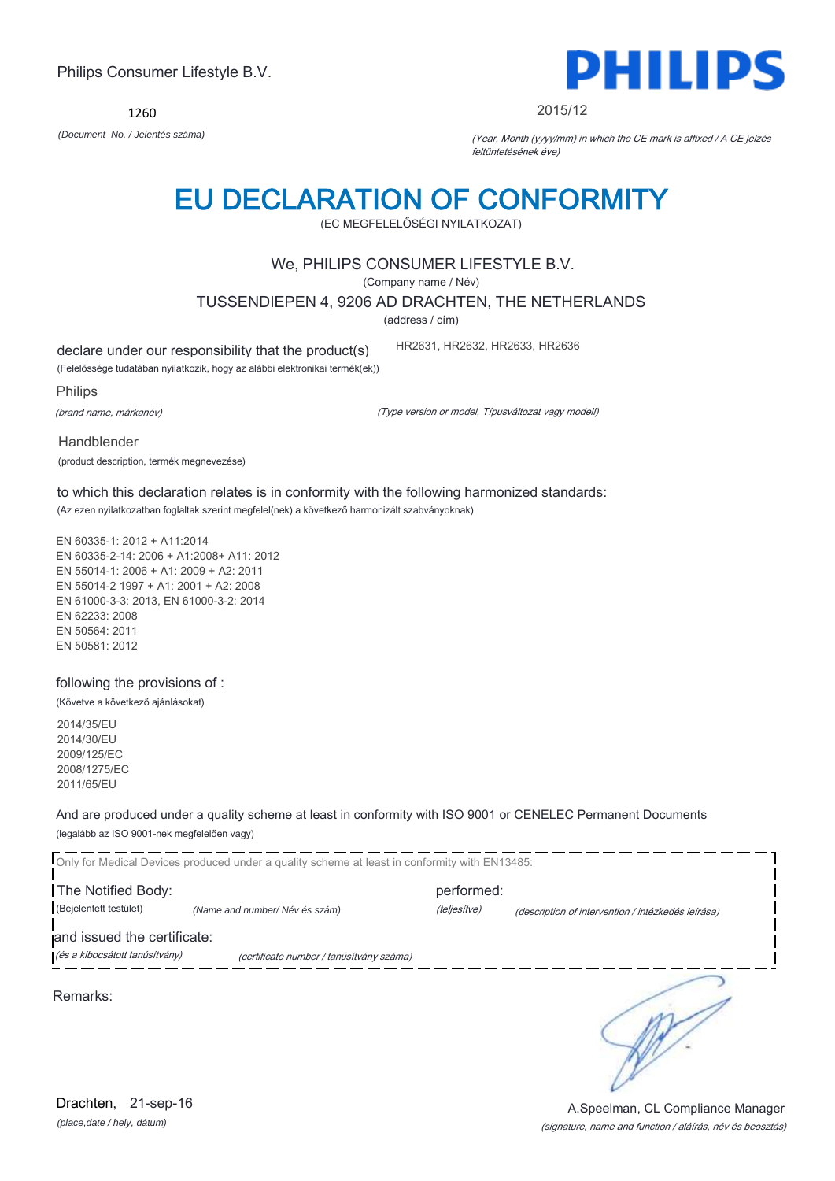(EC MEGFELELŐSÉGI NYILATKOZAT) We, PHILIPS CONSUMER LIFESTYLE B.V.

(Company name / Név) TUSSENDIEPEN 4, 9206 AD DRACHTEN, THE NETHERLANDS

EU DECLARATION OF CONFORMITY

(address / cím)

declare under our responsibility that the product(s)

(Felelőssége tudatában nyilatkozik, hogy az alábbi elektronikai termék(ek))

Philips

(brand name, márkanév)

(Type version or model, Típusváltozat vagy modell)

Handblender

(product description, termék megnevezése)

to which this declaration relates is in conformity with the following harmonized standards: (Az ezen nyilatkozatban foglaltak szerint megfelel(nek) a következő harmonizált szabványoknak)

EN 60335-1: 2012 + A11:2014 EN 60335-2-14: 2006 + A1:2008+ A11: 2012 EN 55014-1: 2006 + A1: 2009 + A2: 2011 EN 55014-2 1997 + A1: 2001 + A2: 2008 EN 61000-3-3: 2013, EN 61000-3-2: 2014 EN 62233: 2008 EN 50564: 2011 EN 50581: 2012

following the provisions of :

(Követve a következő ajánlásokat)

2014/35/EU 2014/30/EU 2009/125/EC 2008/1275/EC 2011/65/EU

And are produced under a quality scheme at least in conformity with ISO 9001 or CENELEC Permanent Documents (legalább az ISO 9001-nek megfelelően vagy)

Only for Medical Devices produced under a quality scheme at least in conformity with EN13485: **The Notified Body: performed:** performed: (Bejelentett testület) *(Name and number/ Név és szám)* (teljesítve) (description of intervention / intézkedés leírása) and issued the certificate: (és a kibocsátott tanúsítvány) (certificate number / tanúsítvány száma) ๖

Remarks:

## Philips Consumer Lifestyle B.V.

1260 *(Document No. / Jelentés száma)* (Year, Month (yyyy/mm) in which the CE mark is affixed / A CE jelzés



(signature, name and function / aláírás, név és beosztás) A.Speelman, CL Compliance Manager

HR2631, HR2632, HR2633, HR2636

2015/12

feltüntetésének éve)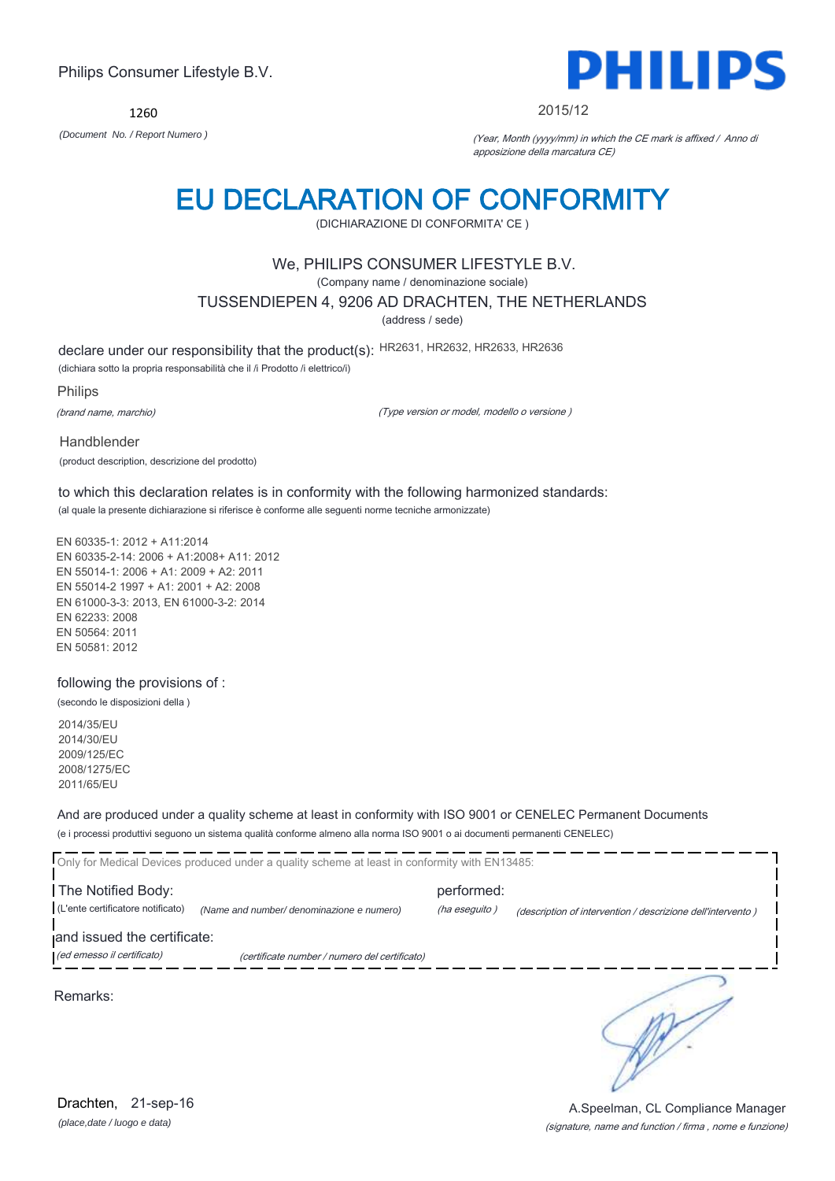1260



#### 2015/12

*(Document No. / Report Numero )* (Year, Month (yyyy/mm) in which the CE mark is affixed / Anno di apposizione della marcatura CE)

## EU DECLARATION OF CONFORMITY

(DICHIARAZIONE DI CONFORMITA' CE )

### We, PHILIPS CONSUMER LIFESTYLE B.V.

(Company name / denominazione sociale)

TUSSENDIEPEN 4, 9206 AD DRACHTEN, THE NETHERLANDS

(address / sede)

declare under our responsibility that the product(s): HR2631, HR2632, HR2633, HR2636

(dichiara sotto la propria responsabilità che il /i Prodotto /i elettrico/i)

Philips

(brand name, marchio)

(Type version or model, modello o versione )

Handblender (product description, descrizione del prodotto)

to which this declaration relates is in conformity with the following harmonized standards: (al quale la presente dichiarazione si riferisce è conforme alle seguenti norme tecniche armonizzate)

EN 60335-1: 2012 + A11:2014 EN 60335-2-14: 2006 + A1:2008+ A11: 2012 EN 55014-1: 2006 + A1: 2009 + A2: 2011 EN 55014-2 1997 + A1: 2001 + A2: 2008 EN 61000-3-3: 2013, EN 61000-3-2: 2014 EN 62233: 2008 EN 50564: 2011 EN 50581: 2012

### following the provisions of :

(secondo le disposizioni della )

2014/35/EU 2014/30/EU 2009/125/EC 2008/1275/EC 2011/65/EU

And are produced under a quality scheme at least in conformity with ISO 9001 or CENELEC Permanent Documents (e i processi produttivi seguono un sistema qualità conforme almeno alla norma ISO 9001 o ai documenti permanenti CENELEC)

| Only for Medical Devices produced under a quality scheme at least in conformity with EN13485: |                                               |                             |                                                             |  |
|-----------------------------------------------------------------------------------------------|-----------------------------------------------|-----------------------------|-------------------------------------------------------------|--|
| The Notified Body:<br>(L'ente certificatore notificato)                                       | (Name and number/ denominazione e numero)     | performed:<br>(ha eseguito) | (description of intervention / descrizione dell'intervento) |  |
| and issued the certificate:<br>(ed emesso il certificato)                                     | (certificate number / numero del certificato) |                             |                                                             |  |
| Remarks:                                                                                      |                                               |                             |                                                             |  |

*(place,date / luogo e data)* Drachten, 21-sep-16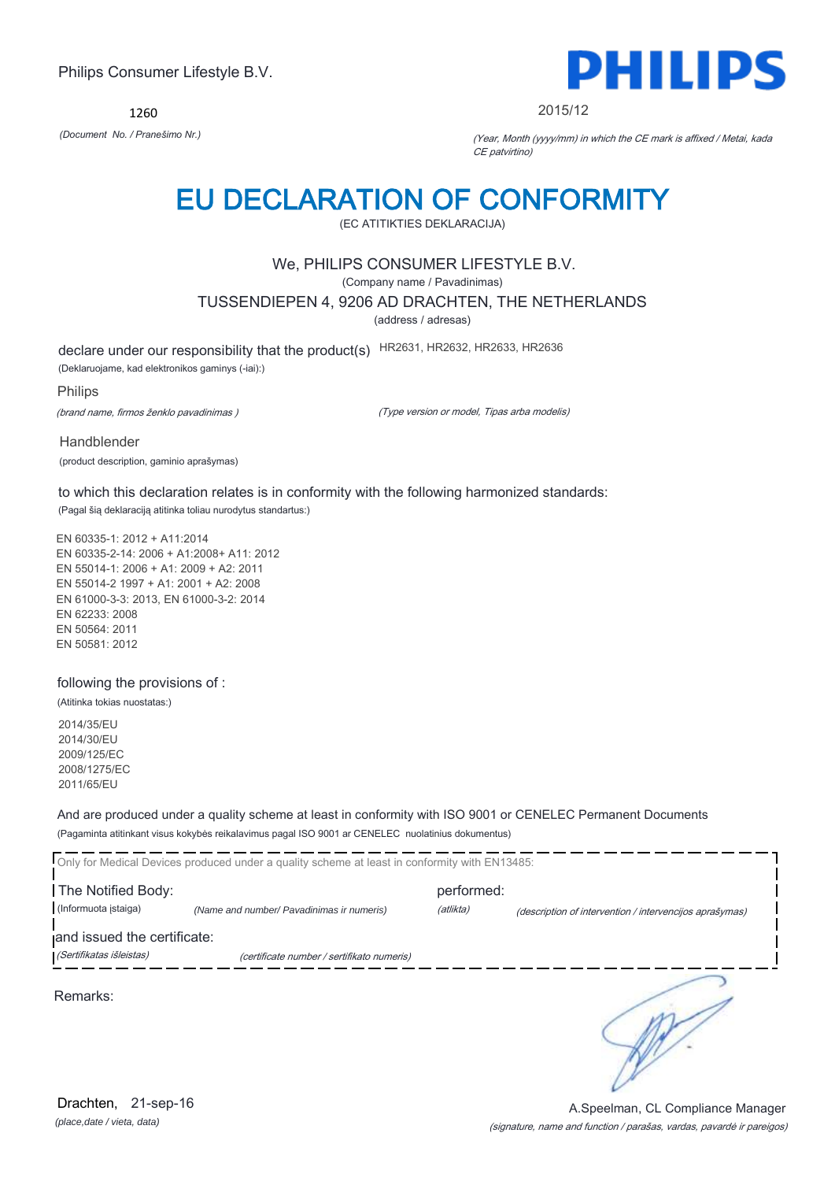1260



2015/12

*(Document No. / Pranešimo Nr.)* (Year, Month (yyyy/mm) in which the CE mark is affixed / Metai, kada CE patvirtino)

## EU DECLARATION OF CONFORMITY

(EC ATITIKTIES DEKLARACIJA)

### We, PHILIPS CONSUMER LIFESTYLE B.V.

(Company name / Pavadinimas)

TUSSENDIEPEN 4, 9206 AD DRACHTEN, THE NETHERLANDS

(address / adresas)

declare under our responsibility that the product(s) HR2631, HR2632, HR2633, HR2636

(Deklaruojame, kad elektronikos gaminys (-iai):)

Philips

(brand name, firmos ženklo pavadinimas )

(Type version or model, Tipas arba modelis)

Handblender

(product description, gaminio aprašymas)

to which this declaration relates is in conformity with the following harmonized standards: (Pagal šią deklaraciją atitinka toliau nurodytus standartus:)

EN 60335-1: 2012 + A11:2014 EN 60335-2-14: 2006 + A1:2008+ A11: 2012 EN 55014-1: 2006 + A1: 2009 + A2: 2011 EN 55014-2 1997 + A1: 2001 + A2: 2008 EN 61000-3-3: 2013, EN 61000-3-2: 2014 EN 62233: 2008 EN 50564: 2011 EN 50581: 2012

### following the provisions of :

(Atitinka tokias nuostatas:)

2014/35/EU 2014/30/EU 2009/125/EC 2008/1275/EC 2011/65/EU

And are produced under a quality scheme at least in conformity with ISO 9001 or CENELEC Permanent Documents (Pagaminta atitinkant visus kokybės reikalavimus pagal ISO 9001 ar CENELEC nuolatinius dokumentus)

|                             | Only for Medical Devices produced under a quality scheme at least in conformity with EN13485: |            |                                                         |
|-----------------------------|-----------------------------------------------------------------------------------------------|------------|---------------------------------------------------------|
| The Notified Body:          |                                                                                               | performed: |                                                         |
| (Informuota įstaiga)        | (Name and number/ Pavadinimas ir numeris)                                                     | (atlikta)  | (description of intervention / intervencijos aprašymas) |
| and issued the certificate: |                                                                                               |            |                                                         |
| (Sertifikatas išleistas)    | (certificate number / sertifikato numeris)                                                    |            |                                                         |
| Remarks:                    |                                                                                               |            |                                                         |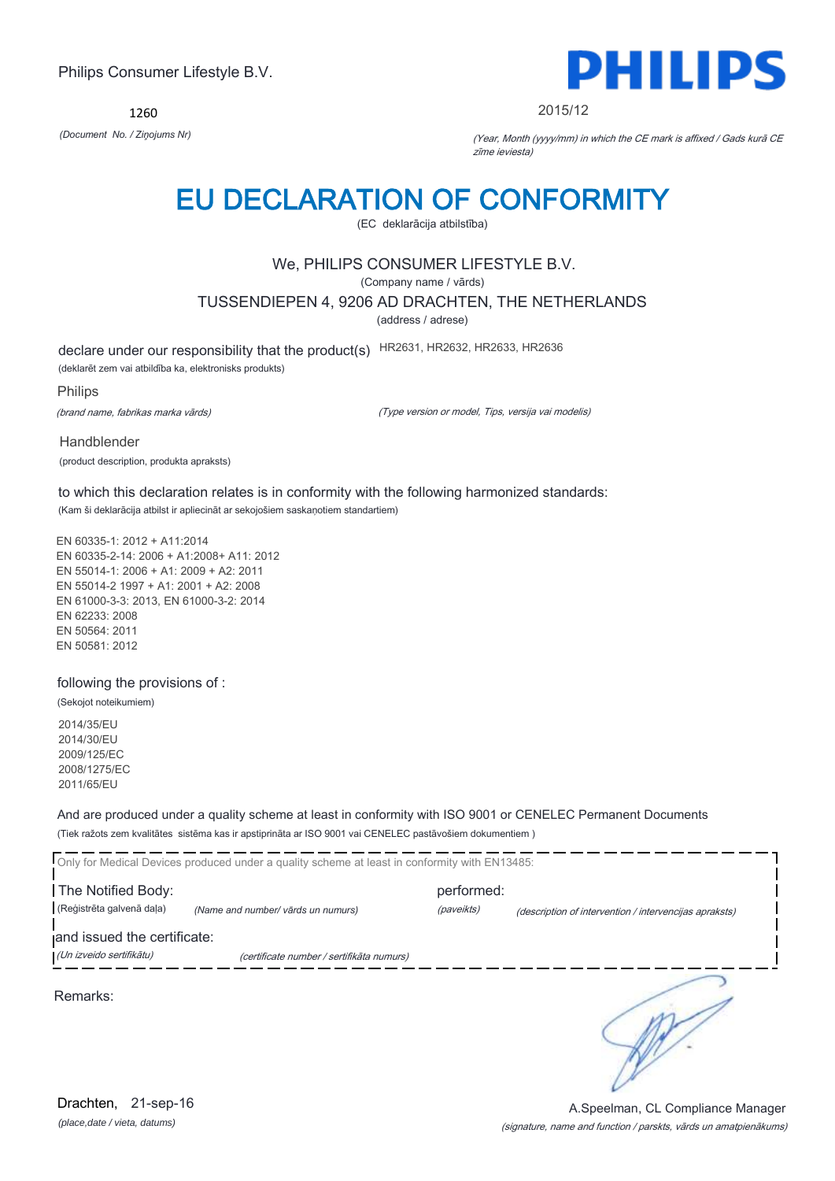1260



#### 2015/12

*(Document No. / Ziņojums Nr)* (Year, Month (yyyy/mm) in which the CE mark is affixed / Gads kurā CE zīme ieviesta)

## EU DECLARATION OF CONFORMITY

(EC deklarācija atbilstība)

## We, PHILIPS CONSUMER LIFESTYLE B.V.

(Company name / vārds)

TUSSENDIEPEN 4, 9206 AD DRACHTEN, THE NETHERLANDS

(address / adrese)

declare under our responsibility that the product(s) HR2631, HR2632, HR2633, HR2636

(deklarēt zem vai atbildība ka, elektronisks produkts)

Philips

(brand name, fabrikas marka vārds)

(Type version or model, Tips, versija vai modelis)

Handblender (product description, produkta apraksts)

to which this declaration relates is in conformity with the following harmonized standards: (Kam ši deklarācija atbilst ir apliecināt ar sekojošiem saskaņotiem standartiem)

EN 60335-1: 2012 + A11:2014 EN 60335-2-14: 2006 + A1:2008+ A11: 2012 EN 55014-1: 2006 + A1: 2009 + A2: 2011 EN 55014-2 1997 + A1: 2001 + A2: 2008 EN 61000-3-3: 2013, EN 61000-3-2: 2014 EN 62233: 2008 EN 50564: 2011 EN 50581: 2012

following the provisions of :

(Sekojot noteikumiem)

2014/35/EU 2014/30/EU 2009/125/EC 2008/1275/EC 2011/65/EU

And are produced under a quality scheme at least in conformity with ISO 9001 or CENELEC Permanent Documents (Tiek ražots zem kvalitātes sistēma kas ir apstiprināta ar ISO 9001 vai CENELEC pastāvošiem dokumentiem )

|                                                         | Only for Medical Devices produced under a quality scheme at least in conformity with EN13485: |            |                                                        |
|---------------------------------------------------------|-----------------------------------------------------------------------------------------------|------------|--------------------------------------------------------|
| The Notified Body:                                      |                                                                                               | performed: |                                                        |
| (Reģistrēta galvenā daļa)                               | (Name and number/ vārds un numurs)                                                            | (paveikts) | (description of intervention / intervencijas apraksts) |
| and issued the certificate:<br>(Un izveido sertifikātu) | (certificate number / sertifikāta numurs)                                                     |            |                                                        |
| Remarks:                                                |                                                                                               |            |                                                        |

*(place,date / vieta, datums)* Drachten, 21-sep-16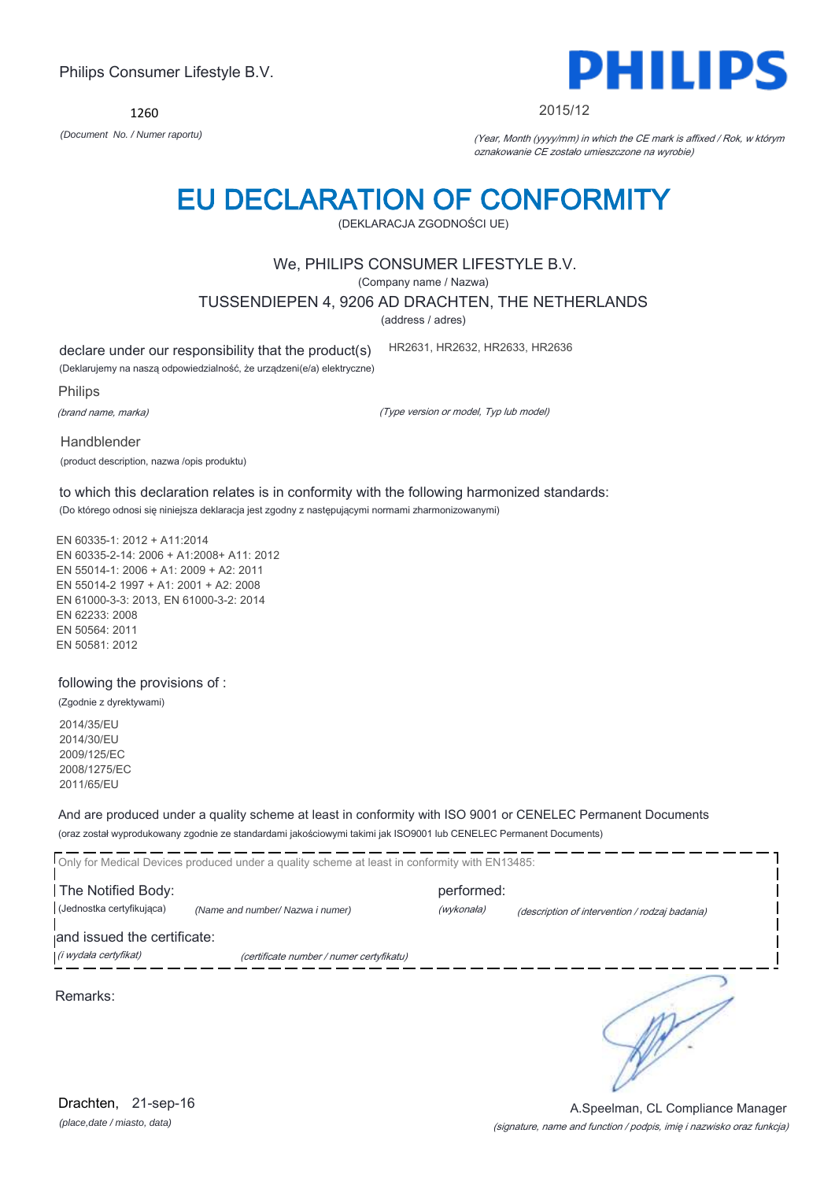Only for Medical Devices produced under a quality scheme at least in conformity with EN13485: The Notified Body: example and the Notified Body: (Jednostka certyfikująca) *(Name and number/ Nazwa i numer)* (wykonała) (description of intervention / rodzaj badania) and issued the certificate: (i wydała certyfikat) (certificate number / numer certyfikatu) ₹ Remarks:

EN 60335-1: 2012 + A11:2014 EN 60335-2-14: 2006 + A1:2008+ A11: 2012 EN 55014-1: 2006 + A1: 2009 + A2: 2011 EN 61000-3-3: 2013, EN 61000-3-2: 2014

(product description, nazwa /opis produktu)

EN 55014-2 1997 + A1: 2001 + A2: 2008 EN 62233: 2008 EN 50564: 2011 EN 50581: 2012

following the provisions of :

(Zgodnie z dyrektywami)

2014/35/EU 2014/30/EU 2009/125/EC 2008/1275/EC 2011/65/EU

And are produced under a quality scheme at least in conformity with ISO 9001 or CENELEC Permanent Documents (oraz został wyprodukowany zgodnie ze standardami jakościowymi takimi jak ISO9001 lub CENELEC Permanent Documents)

### to which this declaration relates is in conformity with the following harmonized standards: (Do którego odnosi się niniejsza deklaracja jest zgodny z następującymi normami zharmonizowanymi)

(DEKLARACJA ZGODNOŚCI UE)

EU DECLARATION OF CONFORMITY

## We, PHILIPS CONSUMER LIFESTYLE B.V.

(Company name / Nazwa)

TUSSENDIEPEN 4, 9206 AD DRACHTEN, THE NETHERLANDS

(address / adres)

HR2631, HR2632, HR2633, HR2636

declare under our responsibility that the product(s)

(Deklarujemy na naszą odpowiedzialność, że urządzeni(e/a) elektryczne)

Philips

(brand name, marka)

Handblender

(Type version or model, Typ lub model)

*(Document No. / Numer raportu)* (Year, Month (yyyy/mm) in which the CE mark is affixed / Rok, w którym oznakowanie CE zostało umieszczone na wyrobie)

1260



A.Speelman, CL Compliance Manager

*(place,date / miasto, data)* Drachten, 21-sep-16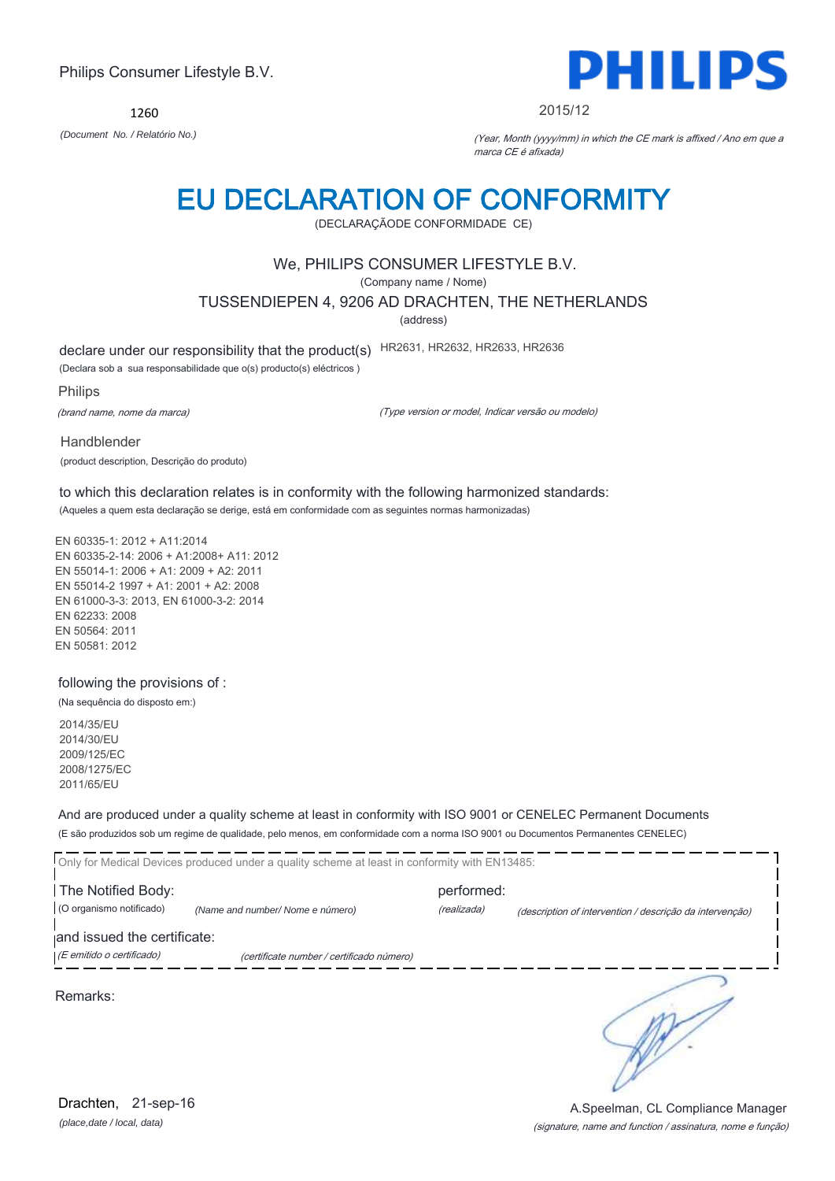1260



#### 2015/12

*(Document No. / Relatório No.)* (Year, Month (yyyy/mm) in which the CE mark is affixed / Ano em que a marca CE é afixada)

## EU DECLARATION OF CONFORMITY

(DECLARAÇÃODE CONFORMIDADE CE)

### We, PHILIPS CONSUMER LIFESTYLE B.V.

(Company name / Nome)

TUSSENDIEPEN 4, 9206 AD DRACHTEN, THE NETHERLANDS

(address)

declare under our responsibility that the product(s) HR2631, HR2632, HR2633, HR2636

(Declara sob a sua responsabilidade que o(s) producto(s) eléctricos )

Philips

(brand name, nome da marca)

(Type version or model, Indicar versão ou modelo)

Handblender (product description, Descrição do produto)

to which this declaration relates is in conformity with the following harmonized standards: (Aqueles a quem esta declaração se derige, está em conformidade com as seguintes normas harmonizadas)

EN 60335-1: 2012 + A11:2014 EN 60335-2-14: 2006 + A1:2008+ A11: 2012 EN 55014-1: 2006 + A1: 2009 + A2: 2011 EN 55014-2 1997 + A1: 2001 + A2: 2008 EN 61000-3-3: 2013, EN 61000-3-2: 2014 EN 62233: 2008 EN 50564: 2011 EN 50581: 2012

following the provisions of :

(Na sequência do disposto em:)

2014/35/EU 2014/30/EU 2009/125/EC 2008/1275/EC 2011/65/EU

And are produced under a quality scheme at least in conformity with ISO 9001 or CENELEC Permanent Documents (E são produzidos sob um regime de qualidade, pelo menos, em conformidade com a norma ISO 9001 ou Documentos Permanentes CENELEC)

|                                                | Only for Medical Devices produced under a quality scheme at least in conformity with EN13485: |                           |                                                          |
|------------------------------------------------|-----------------------------------------------------------------------------------------------|---------------------------|----------------------------------------------------------|
| The Notified Body:<br>(O organismo notificado) | (Name and number/ Nome e número)                                                              | performed:<br>(realizada) | (description of intervention / descrição da intervenção) |
| and issued the certificate:                    |                                                                                               |                           |                                                          |
| (E emitido o certificado)                      | (certificate number / certificado número)                                                     |                           |                                                          |
| Remarks:                                       |                                                                                               |                           |                                                          |

*(place,date / local, data)* Drachten, 21-sep-16

### (signature, name and function / assinatura, nome e função) A.Speelman, CL Compliance Manager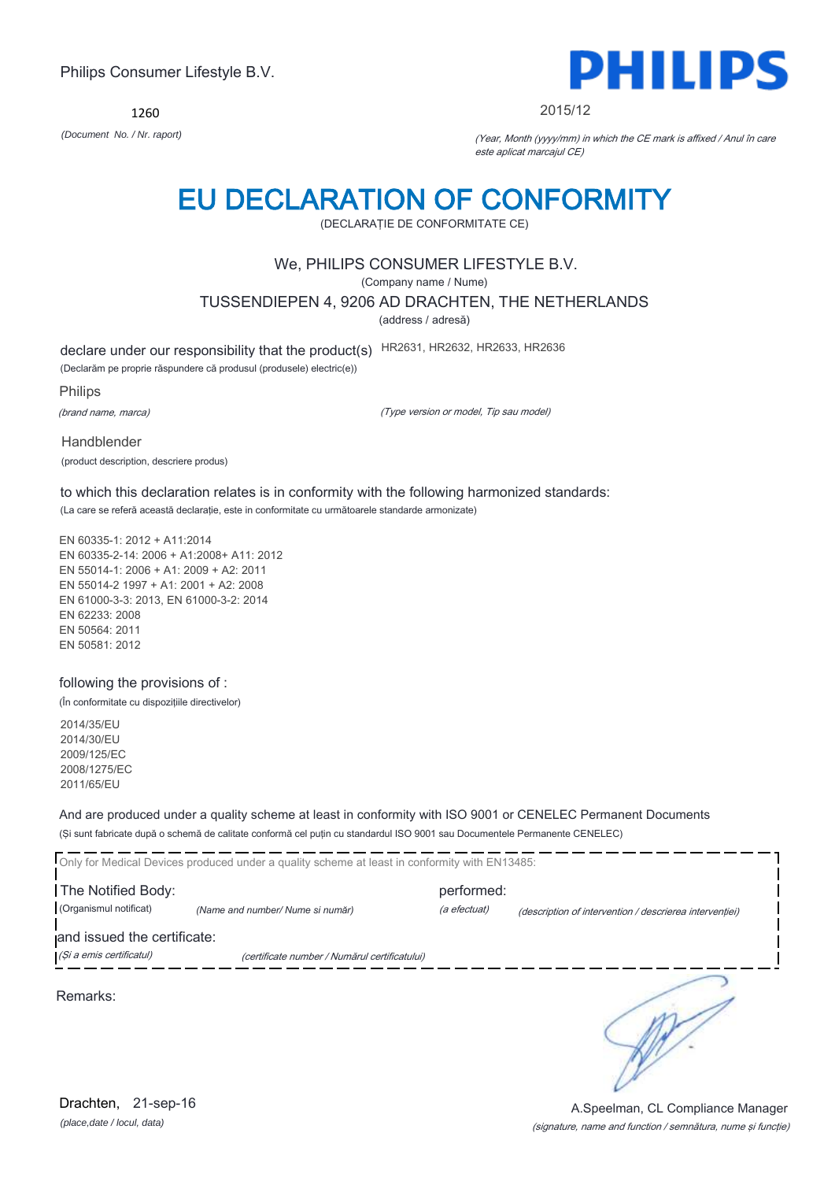1260



#### 2015/12

*(Document No. / Nr. raport)* (Year, Month (yyyy/mm) in which the CE mark is affixed / Anul în care este aplicat marcajul CE)

## EU DECLARATION OF CONFORMITY

(DECLARAŢIE DE CONFORMITATE CE)

### We, PHILIPS CONSUMER LIFESTYLE B.V.

(Company name / Nume)

TUSSENDIEPEN 4, 9206 AD DRACHTEN, THE NETHERLANDS

(address / adresă)

declare under our responsibility that the product(s) HR2631, HR2632, HR2633, HR2636

(Declarăm pe proprie răspundere că produsul (produsele) electric(e))

Philips

(brand name, marca)

(Type version or model, Tip sau model)

Handblender (product description, descriere produs)

to which this declaration relates is in conformity with the following harmonized standards: (La care se referă această declaraţie, este in conformitate cu următoarele standarde armonizate)

EN 60335-1: 2012 + A11:2014 EN 60335-2-14: 2006 + A1:2008+ A11: 2012 EN 55014-1: 2006 + A1: 2009 + A2: 2011 EN 55014-2 1997 + A1: 2001 + A2: 2008 EN 61000-3-3: 2013, EN 61000-3-2: 2014 EN 62233: 2008 EN 50564: 2011 EN 50581: 2012

### following the provisions of :

(În conformitate cu dispoziţiile directivelor)

2014/35/EU 2014/30/EU 2009/125/EC 2008/1275/EC 2011/65/EU

And are produced under a quality scheme at least in conformity with ISO 9001 or CENELEC Permanent Documents (Şi sunt fabricate după o schemă de calitate conformă cel puţin cu standardul ISO 9001 sau Documentele Permanente CENELEC)

|                                              | Only for Medical Devices produced under a quality scheme at least in conformity with EN13485: |                            |                                                         |
|----------------------------------------------|-----------------------------------------------------------------------------------------------|----------------------------|---------------------------------------------------------|
| The Notified Body:<br>(Organismul notificat) | (Name and number/ Nume si număr)                                                              | performed:<br>(a efectuat) | (description of intervention / descrierea interventiei) |
| and issued the certificate:                  |                                                                                               |                            |                                                         |
| (Și a emis certificatul)                     | (certificate number / Numărul certificatului)                                                 |                            |                                                         |
| Remarks:                                     |                                                                                               |                            |                                                         |

*(place,date / locul, data)* Drachten, 21-sep-16

### (signature, name and function / semnătura, nume şi funcţie) A.Speelman, CL Compliance Manager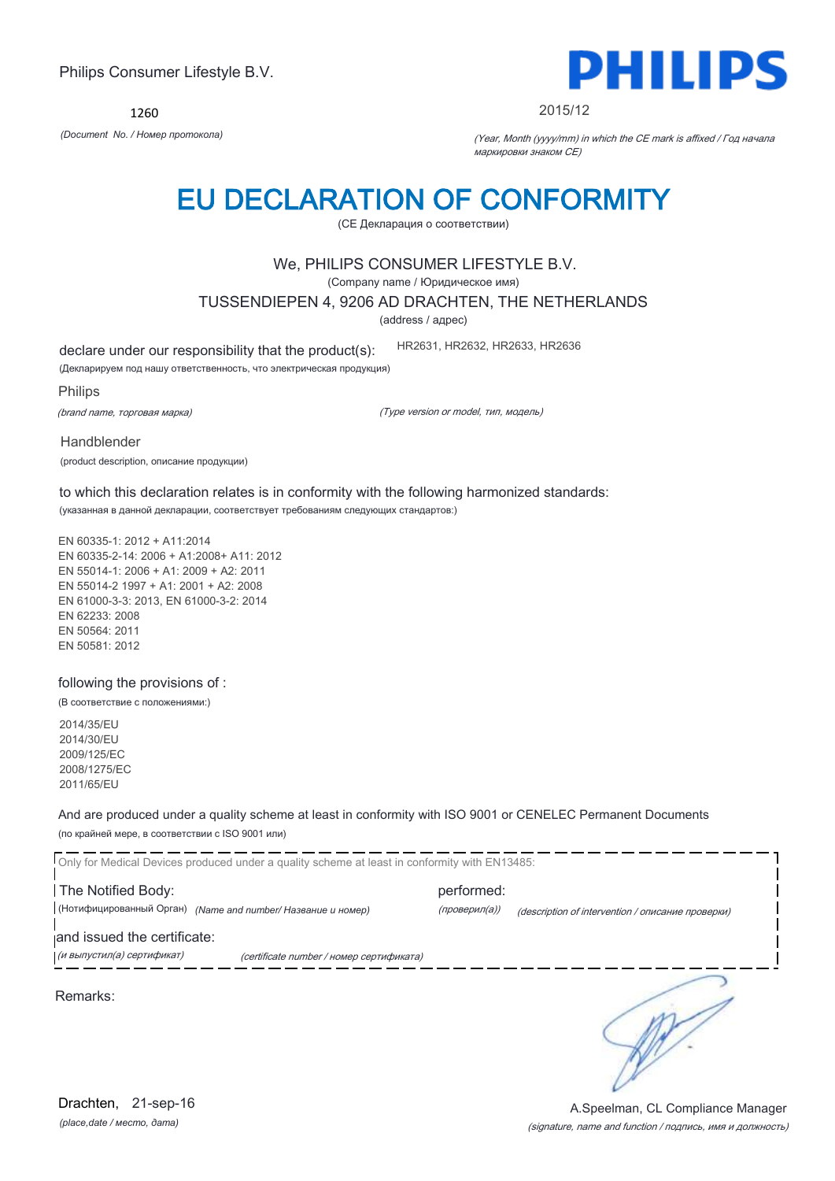1260



#### 2015/12

*(Document No. / Номер протокола)* (Year, Month (yyyy/mm) in which the CE mark is affixed / Год начала маркировки знаком CE)

## EU DECLARATION OF CONFORMITY

(CE Декларация о соответствии)

### We, PHILIPS CONSUMER LIFESTYLE B.V.

(Company name / Юридическое имя)

TUSSENDIEPEN 4, 9206 AD DRACHTEN, THE NETHERLANDS

(address / адрес)

declare under our responsibility that the product(s):

(Декларируем под нашу ответственность, что электрическая продукция)

Philips

(brand name, торговая марка)

(Type version or model, тип, модель)

HR2631, HR2632, HR2633, HR2636

Handblender

(product description, описание продукции)

to which this declaration relates is in conformity with the following harmonized standards: (указанная в данной декларации, соответствует требованиям следующих стандартов:)

EN 60335-1: 2012 + A11:2014 EN 60335-2-14: 2006 + A1:2008+ A11: 2012 EN 55014-1: 2006 + A1: 2009 + A2: 2011 EN 55014-2 1997 + A1: 2001 + A2: 2008 EN 61000-3-3: 2013, EN 61000-3-2: 2014 EN 62233: 2008 EN 50564: 2011 EN 50581: 2012

following the provisions of :

(В соответствие с положениями:)

2014/35/EU 2014/30/EU 2009/125/EC 2008/1275/EC 2011/65/EU

And are produced under a quality scheme at least in conformity with ISO 9001 or CENELEC Permanent Documents (по крайней мере, в соответствии с ISO 9001 или)

Only for Medical Devices produced under a quality scheme at least in conformity with EN13485: The Notified Body: example and the Notified Body: (Нотифицированный Орган) *(Name and number/ Название и номер)* (проверил(а)) (description of intervention / описание проверки) and issued the certificate: (и выпустил(а) сертификат) (certificate number / номер сертификата) ₹ Remarks: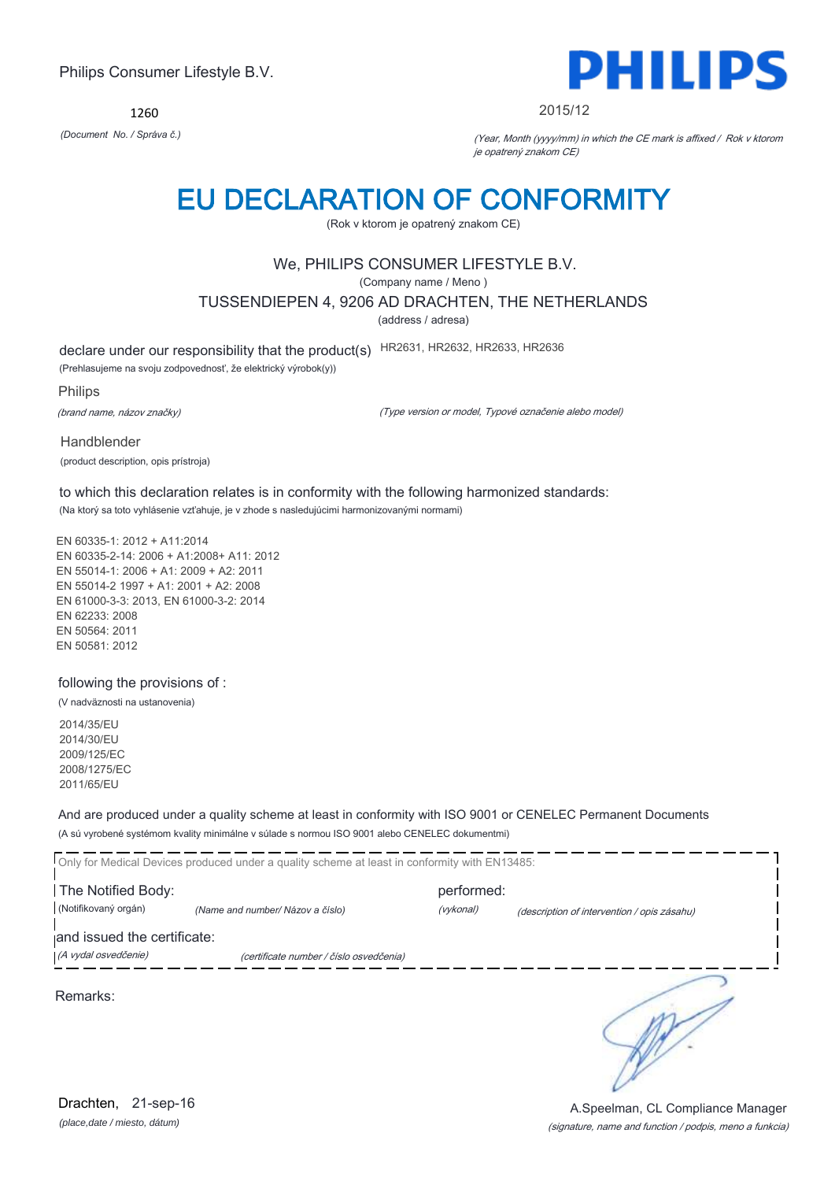1260



#### 2015/12

*(Document No. / Správa č.)* (Year, Month (yyyy/mm) in which the CE mark is affixed / Rok v ktorom je opatrený znakom CE)

## EU DECLARATION OF CONFORMITY

(Rok v ktorom je opatrený znakom CE)

### We, PHILIPS CONSUMER LIFESTYLE B.V.

(Company name / Meno )

TUSSENDIEPEN 4, 9206 AD DRACHTEN, THE NETHERLANDS

(address / adresa)

declare under our responsibility that the product(s) HR2631, HR2632, HR2633, HR2636

(Prehlasujeme na svoju zodpovednosť, že elektrický výrobok(y))

Philips

(brand name, názov značky)

(Type version or model, Typové označenie alebo model)

Handblender (product description, opis prístroja)

to which this declaration relates is in conformity with the following harmonized standards: (Na ktorý sa toto vyhlásenie vzťahuje, je v zhode s nasledujúcimi harmonizovanými normami)

EN 60335-1: 2012 + A11:2014 EN 60335-2-14: 2006 + A1:2008+ A11: 2012 EN 55014-1: 2006 + A1: 2009 + A2: 2011 EN 55014-2 1997 + A1: 2001 + A2: 2008 EN 61000-3-3: 2013, EN 61000-3-2: 2014 EN 62233: 2008 EN 50564: 2011 EN 50581: 2012

following the provisions of :

(V nadväznosti na ustanovenia)

2014/35/EU 2014/30/EU 2009/125/EC 2008/1275/EC 2011/65/EU

And are produced under a quality scheme at least in conformity with ISO 9001 or CENELEC Permanent Documents (A sú vyrobené systémom kvality minimálne v súlade s normou ISO 9001 alebo CENELEC dokumentmi)

Only for Medical Devices produced under a quality scheme at least in conformity with EN13485: The Notified Body: example and the Notified Body: (Notifikovaný orgán) *(Name and number/ Názov a číslo)* (vykonal) (description of intervention / opis zásahu) and issued the certificate: (A vydal osvedčenie) (certificate number / číslo osvedčenia) ₹ Remarks:

*(place,date / miesto, dátum)* Drachten, 21-sep-16

(signature, name and function / podpis, meno a funkcia) A.Speelman, CL Compliance Manager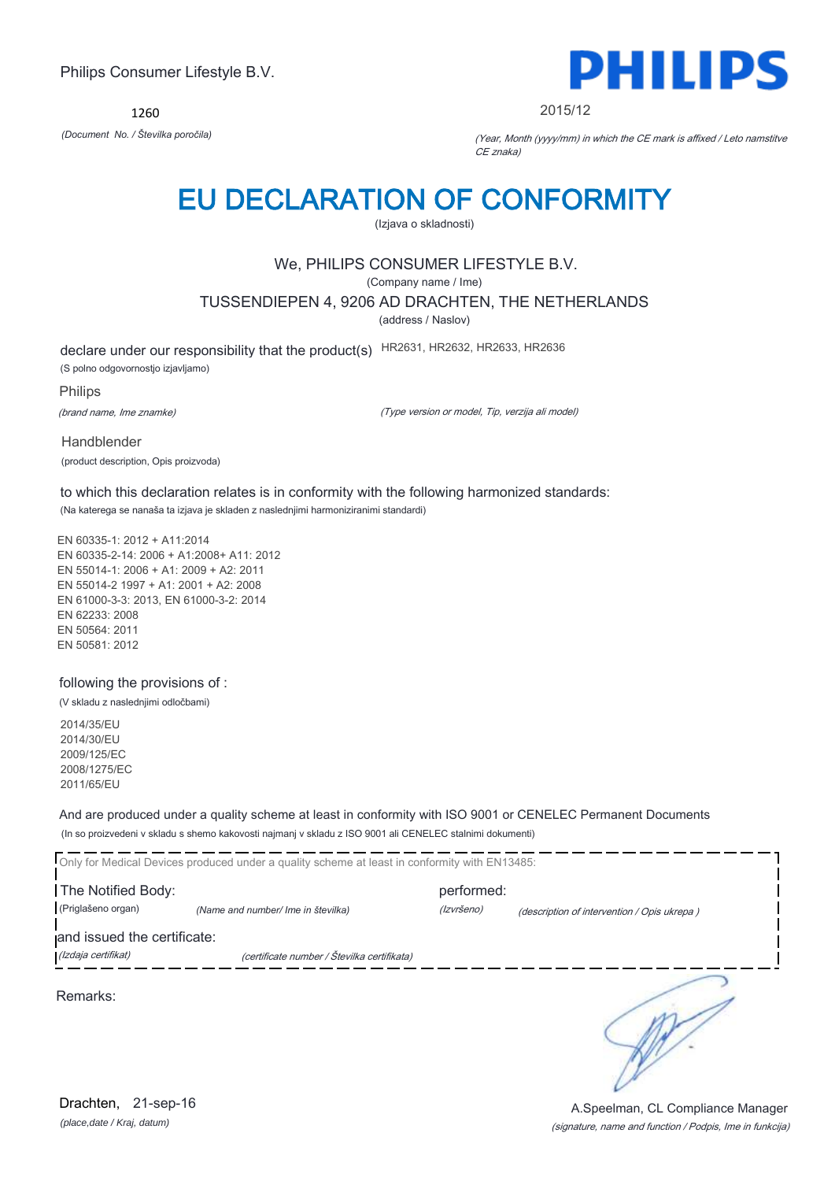1260



2015/12

*(Document No. / Številka poročila)* (Year, Month (yyyy/mm) in which the CE mark is affixed / Leto namstitve CE znaka)

## EU DECLARATION OF CONFORMITY

(Izjava o skladnosti)

## We, PHILIPS CONSUMER LIFESTYLE B.V.

(Company name / Ime)

TUSSENDIEPEN 4, 9206 AD DRACHTEN, THE NETHERLANDS

(address / Naslov)

declare under our responsibility that the product(s) HR2631, HR2632, HR2633, HR2636 (S polno odgovornostjo izjavljamo)

Philips

(brand name, Ime znamke)

(Type version or model, Tip, verzija ali model)

Handblender (product description, Opis proizvoda)

to which this declaration relates is in conformity with the following harmonized standards: (Na katerega se nanaša ta izjava je skladen z naslednjimi harmoniziranimi standardi)

EN 60335-1: 2012 + A11:2014 EN 60335-2-14: 2006 + A1:2008+ A11: 2012 EN 55014-1: 2006 + A1: 2009 + A2: 2011 EN 55014-2 1997 + A1: 2001 + A2: 2008 EN 61000-3-3: 2013, EN 61000-3-2: 2014 EN 62233: 2008 EN 50564: 2011 EN 50581: 2012

following the provisions of :

(V skladu z naslednjimi odločbami)

2014/35/EU 2014/30/EU 2009/125/EC 2008/1275/EC 2011/65/EU

And are produced under a quality scheme at least in conformity with ISO 9001 or CENELEC Permanent Documents (In so proizvedeni v skladu s shemo kakovosti najmanj v skladu z ISO 9001 ali CENELEC stalnimi dokumenti)

|                             | Only for Medical Devices produced under a quality scheme at least in conformity with EN13485: |            |                                             |
|-----------------------------|-----------------------------------------------------------------------------------------------|------------|---------------------------------------------|
| The Notified Body:          |                                                                                               | performed: |                                             |
| (Priglašeno organ)          | (Name and number/ Ime in številka)                                                            | (Izvršeno) | (description of intervention / Opis ukrepa) |
| and issued the certificate: |                                                                                               |            |                                             |
| (Izdaja certifikat)         | (certificate number / Številka certifikata)                                                   |            |                                             |
| Remarks:                    |                                                                                               |            |                                             |

*(place,date / Kraj, datum)* Drachten, 21-sep-16

(signature, name and function / Podpis, Ime in funkcija) A.Speelman, CL Compliance Manager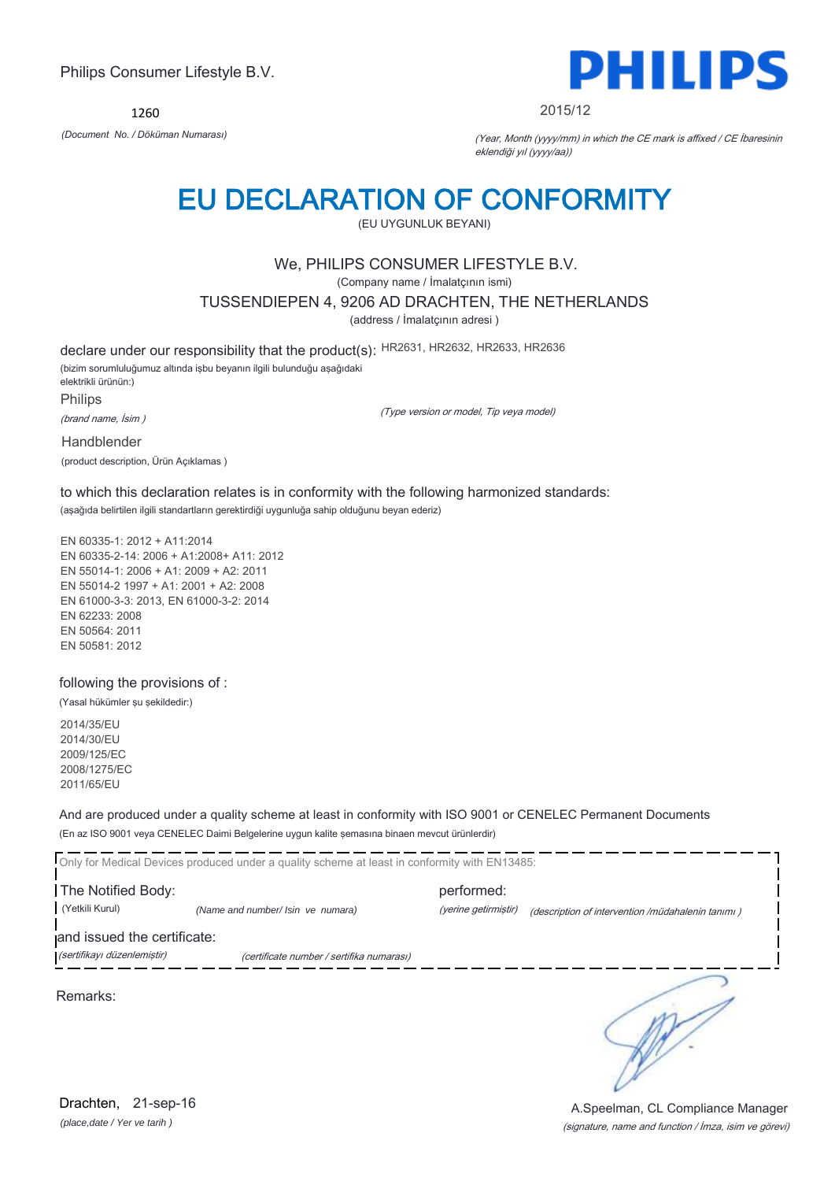1260



#### 2015/12

*(Document No. / Döküman Numarası)* (Year, Month (yyyy/mm) in which the CE mark is affixed / CE İbaresinin eklendiği yıl (yyyy/aa))

## EU DECLARATION OF CONFORMITY

(EU UYGUNLUK BEYANI)

### We, PHILIPS CONSUMER LIFESTYLE B.V.

(Company name / İmalatçının ismi)

TUSSENDIEPEN 4, 9206 AD DRACHTEN, THE NETHERLANDS

(address / İmalatçının adresi )

declare under our responsibility that the product(s): HR2631, HR2632, HR2633, HR2636 (bizim sorumluluğumuz altında işbu beyanın ilgili bulunduğu aşağıdaki elektrikli ürünün:) Philips

(brand name, İsim )

(Type version or model, Tip veya model)

Handblender

(product description, Ürün Açıklamas )

to which this declaration relates is in conformity with the following harmonized standards: (aşağıda belirtilen ilgili standartların gerektirdiği uygunluğa sahip olduğunu beyan ederiz)

EN 60335-1: 2012 + A11:2014 EN 60335-2-14: 2006 + A1:2008+ A11: 2012 EN 55014-1: 2006 + A1: 2009 + A2: 2011 EN 55014-2 1997 + A1: 2001 + A2: 2008 EN 61000-3-3: 2013, EN 61000-3-2: 2014 EN 62233: 2008 EN 50564: 2011 EN 50581: 2012

following the provisions of :

(Yasal hükümler şu şekildedir:)

2014/35/EU 2014/30/EU 2009/125/EC 2008/1275/EC 2011/65/EU

And are produced under a quality scheme at least in conformity with ISO 9001 or CENELEC Permanent Documents (En az ISO 9001 veya CENELEC Daimi Belgelerine uygun kalite şemasına binaen mevcut ürünlerdir)

Only for Medical Devices produced under a quality scheme at least in conformity with EN13485: **The Notified Body: performed:** performed: (Yetkili Kurul) *(Name and number/ Isin ve numara)* (yerine getirmiştir) (description of intervention /müdahalenin tanımı ) and issued the certificate: (sertifikayı düzenlemiştir) (certificate number / sertifika numarası) ∍

Remarks:

*(place,date / Yer ve tarih )* Drachten, 21-sep-16

(signature, name and function / İmza, isim ve görevi) A.Speelman, CL Compliance Manager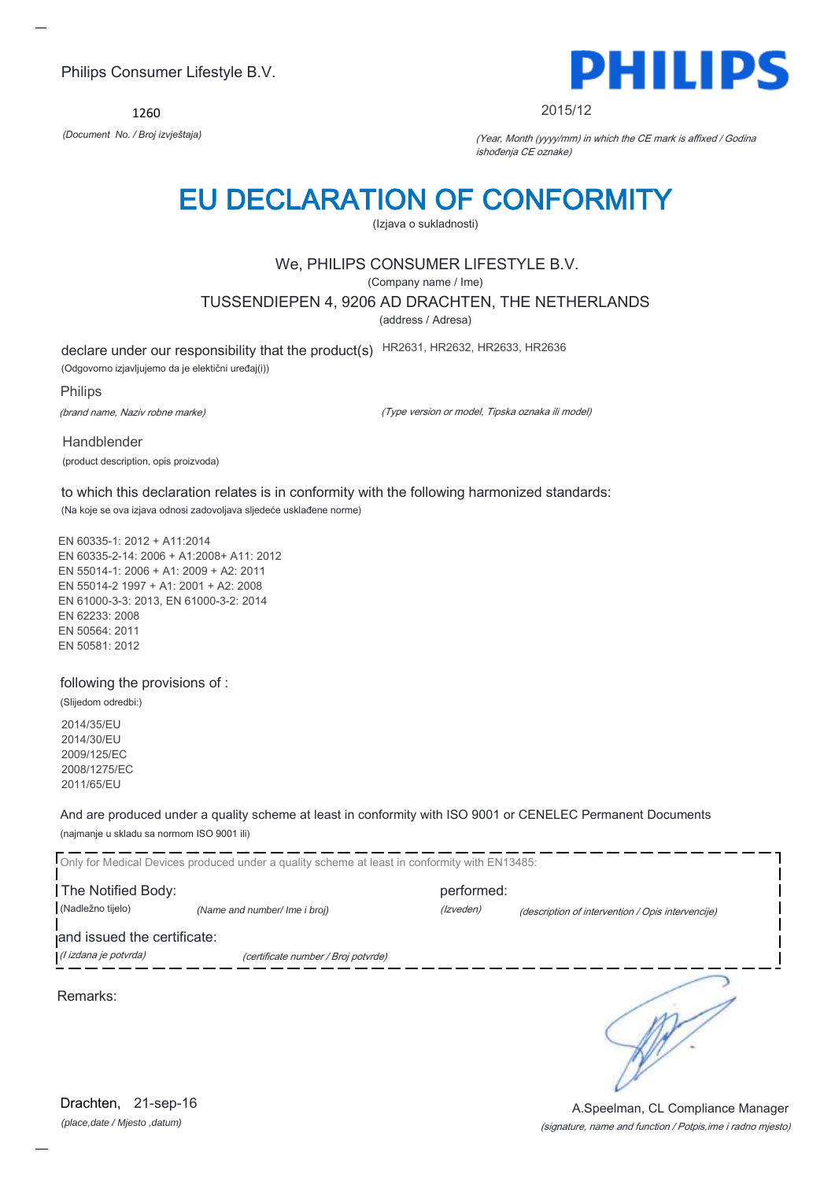1260



#### 2015/12

*(Document No. / Broj izvještaja)* (Year, Month (yyyy/mm) in which the CE mark is affixed / Godina ishođenja CE oznake)

## EU DECLARATION OF CONFORMITY

(Izjava o sukladnosti)

## We, PHILIPS CONSUMER LIFESTYLE B.V.

(Company name / Ime)

TUSSENDIEPEN 4, 9206 AD DRACHTEN, THE NETHERLANDS

(address / Adresa)

declare under our responsibility that the product(s) HR2631, HR2632, HR2633, HR2636

(Odgovorno izjavljujemo da je elektični uređaj(i))

Philips

(brand name, Naziv robne marke)

(Type version or model, Tipska oznaka ili model)

Handblender (product description, opis proizvoda)

to which this declaration relates is in conformity with the following harmonized standards: (Na koje se ova izjava odnosi zadovoljava sljedeće usklađene norme)

EN 60335-1: 2012 + A11:2014 EN 60335-2-14: 2006 + A1:2008+ A11: 2012 EN 55014-1: 2006 + A1: 2009 + A2: 2011 EN 55014-2 1997 + A1: 2001 + A2: 2008 EN 61000-3-3: 2013, EN 61000-3-2: 2014 EN 62233: 2008 EN 50564: 2011 EN 50581: 2012

### following the provisions of :

(Slijedom odredbi:)

2014/35/EU 2014/30/EU 2009/125/EC 2008/1275/EC 2011/65/EU

And are produced under a quality scheme at least in conformity with ISO 9001 or CENELEC Permanent Documents (najmanje u skladu sa normom ISO 9001 ili)

Only for Medical Devices produced under a quality scheme at least in conformity with EN13485: **The Notified Body: performed:** performed: (Nadležno tijelo) *(Name and number/ Ime i broj) (Izveden) (Izveden) (description of intervention / Opis intervencije*) and issued the certificate: (I izdana je potvrda) (certificate number / Broj potvrde) ∍

Remarks:

*(place,date / Mjesto ,datum)* Drachten, 21-sep-16

### (signature, name and function / Potpis,ime i radno mjesto) A.Speelman, CL Compliance Manager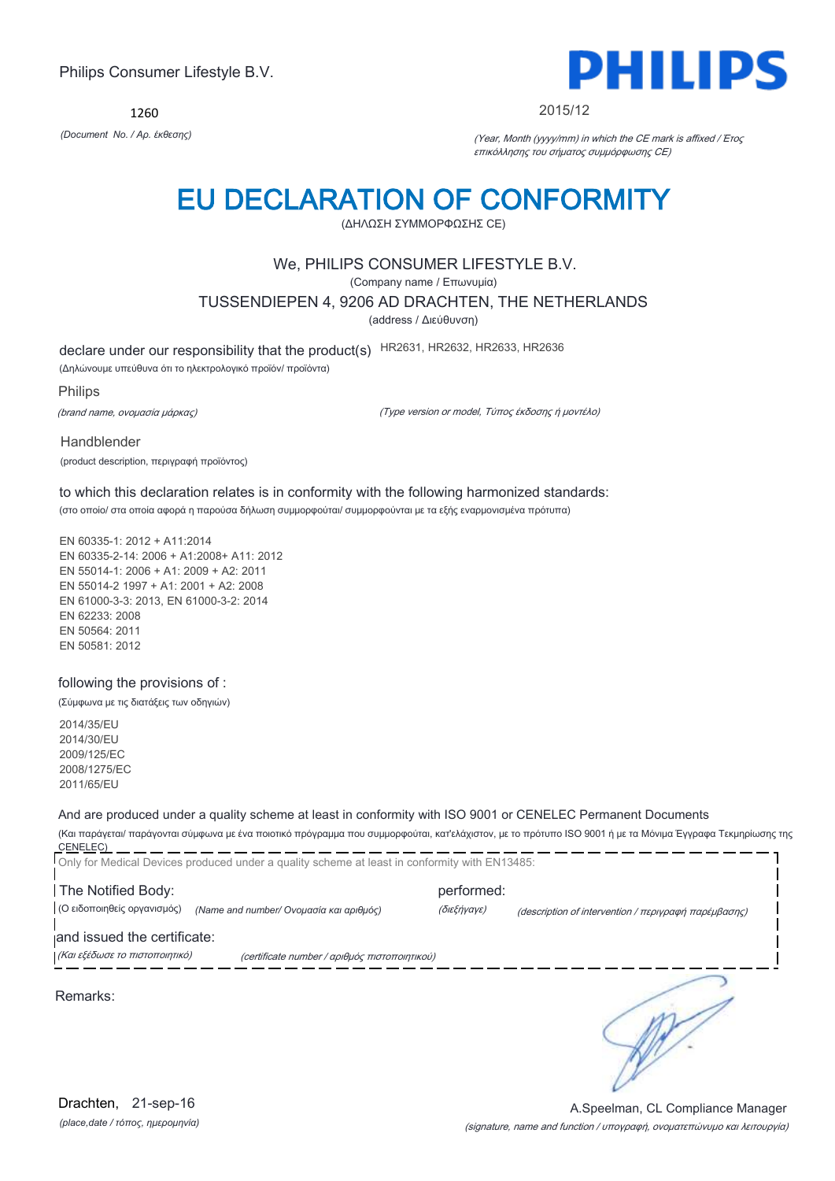1260



#### 2015/12

*(Document No. / Αρ. έκθεσης)* (Year, Month (yyyy/mm) in which the CE mark is affixed / Έτος επικόλλησης του σήματος συμμόρφωσης CE)

## EU DECLARATION OF CONFORMITY

(ΔΗΛΩΣΗ ΣΥΜΜΟΡΦΩΣΗΣ CE)

### We, PHILIPS CONSUMER LIFESTYLE B.V.

(Company name / Επωνυμία)

TUSSENDIEPEN 4, 9206 AD DRACHTEN, THE NETHERLANDS

(address / Διεύθυνση)

declare under our responsibility that the product(s) HR2631, HR2632, HR2633, HR2636

(Δηλώνουμε υπεύθυνα ότι το ηλεκτρολογικό προϊόν/ προϊόντα)

Philips

(brand name, ονομασία μάρκας)

(Type version or model, Τύπος έκδοσης ή μοντέλο)

Handblender

(product description, περιγραφή προϊόντος)

to which this declaration relates is in conformity with the following harmonized standards: (στο οποίο/ στα οποία αφορά η παρούσα δήλωση συμμορφούται/ συμμορφούνται με τα εξής εναρμονισμένα πρότυπα)

EN 60335-1: 2012 + A11:2014 EN 60335-2-14: 2006 + A1:2008+ A11: 2012 EN 55014-1: 2006 + A1: 2009 + A2: 2011 EN 55014-2 1997 + A1: 2001 + A2: 2008 EN 61000-3-3: 2013, EN 61000-3-2: 2014 EN 62233: 2008 EN 50564: 2011 EN 50581: 2012

### following the provisions of :

(Σύμφωνα με τις διατάξεις των οδηγιών)

2014/35/EU 2014/30/EU 2009/125/EC 2008/1275/EC 2011/65/EU

### And are produced under a quality scheme at least in conformity with ISO 9001 or CENELEC Permanent Documents

(Και παράγεται/ παράγονται σύμφωνα με ένα ποιοτικό πρόγραμμα που συμμορφούται, κατ'ελάχιστον, με το πρότυπο ISO 9001 ή με τα Μόνιμα Έγγραφα Τεκμηρίωσης της CENELEC) \_\_\_\_\_\_\_\_\_\_\_\_\_\_\_\_

| Only for Medical Devices produced under a quality scheme at least in conformity with EN13485: |                                                                     |
|-----------------------------------------------------------------------------------------------|---------------------------------------------------------------------|
| The Notified Body:                                                                            | performed:                                                          |
| (Ο ειδοποιηθείς οργανισμός)<br>(Name and number/ Ονομασία και αριθμός)                        | (διεξήγαγε)<br>(description of intervention / περιγραφή παρέμβασης) |
| and issued the certificate:                                                                   |                                                                     |
| (Και εξέδωσε το πιστοποιητικό)<br>(certificate number / αριθμός πιστοποιητικού)               |                                                                     |
| Remarks:                                                                                      |                                                                     |